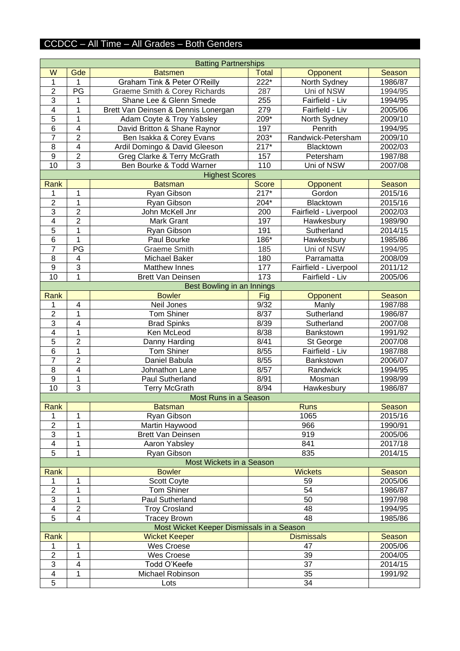## CCDCC – All Time – All Grades – Both Genders

| <b>Batting Partnerships</b> |                         |                                           |              |                       |         |
|-----------------------------|-------------------------|-------------------------------------------|--------------|-----------------------|---------|
| W                           | Gde                     | <b>Batsmen</b>                            | <b>Total</b> | Opponent              | Season  |
| 1                           | 1                       | Graham Tink & Peter O'Reilly              | 222*         | North Sydney          | 1986/87 |
| $\overline{2}$              | PG                      | Graeme Smith & Corey Richards             | 287          | Uni of NSW            | 1994/95 |
| $\overline{3}$              | 1                       | Shane Lee & Glenn Smede                   | 255          | Fairfield - Liv       | 1994/95 |
| $\overline{\mathbf{4}}$     | 1                       | Brett Van Deinsen & Dennis Lonergan       | 279          | Fairfield - Liv       | 2005/06 |
| $\overline{5}$              | 1                       | Adam Coyte & Troy Yabsley                 | $209*$       | North Sydney          | 2009/10 |
| $\overline{6}$              | 4                       | David Britton & Shane Raynor              | 197          | Penrith               | 1994/95 |
| $\overline{7}$              | $\overline{2}$          | Ben Isakka & Corey Evans                  | $203*$       | Randwick-Petersham    | 2009/10 |
| 8                           | $\overline{\mathbf{4}}$ | Ardil Domingo & David Gleeson             | $217*$       | Blacktown             | 2002/03 |
| $\overline{9}$              | $\overline{2}$          | Greg Clarke & Terry McGrath               | 157          | Petersham             | 1987/88 |
| $\overline{10}$             | $\overline{3}$          | Ben Bourke & Todd Warner                  | 110          | Uni of NSW            | 2007/08 |
|                             |                         | <b>Highest Scores</b>                     |              |                       |         |
| Rank                        |                         | <b>Batsman</b>                            | <b>Score</b> | Opponent              | Season  |
| 1                           | 1                       | Ryan Gibson                               | $217*$       | Gordon                | 2015/16 |
| $\overline{2}$              | 1                       | Ryan Gibson                               | 204*         | Blacktown             | 2015/16 |
| 3                           | $\overline{2}$          | John McKell Jnr                           | 200          | Fairfield - Liverpool | 2002/03 |
| $\overline{\mathcal{A}}$    | $\overline{c}$          | Mark Grant                                | 197          | Hawkesbury            | 1989/90 |
| $\overline{5}$              | 1                       | Ryan Gibson                               | 191          | Sutherland            | 2014/15 |
| $\,6$                       | 1                       | Paul Bourke                               | 186*         | Hawkesbury            | 1985/86 |
| $\overline{7}$              | PG                      | <b>Graeme Smith</b>                       | 185          | Uni of NSW            | 1994/95 |
| 8                           | 4                       | Michael Baker                             | 180          | Parramatta            | 2008/09 |
| 9                           | $\overline{3}$          | <b>Matthew Innes</b>                      | 177          | Fairfield - Liverpool | 2011/12 |
| 10                          | 1                       | <b>Brett Van Deinsen</b>                  | 173          | Fairfield - Liv       | 2005/06 |
|                             |                         | Best Bowling in an Innings                |              |                       |         |
| <b>Rank</b>                 |                         | <b>Bowler</b>                             | Fig          | Opponent              | Season  |
| 1                           | $\overline{\mathbf{4}}$ | Neil Jones                                | 9/32         | Manly                 | 1987/88 |
| $\mathbf 2$                 | 1                       | <b>Tom Shiner</b>                         | 8/37         | Sutherland            | 1986/87 |
| $\ensuremath{\mathsf{3}}$   | 4                       | <b>Brad Spinks</b>                        | 8/39         | Sutherland            | 2007/08 |
| $\overline{\mathcal{A}}$    | 1                       | Ken McLeod                                | 8/38         | Bankstown             | 1991/92 |
| $\overline{5}$              | $\overline{2}$          | Danny Harding                             | 8/41         | St George             | 2007/08 |
| $6\phantom{1}6$             | 1                       | <b>Tom Shiner</b>                         | 8/55         | Fairfield - Liv       | 1987/88 |
| $\overline{7}$              | $\overline{2}$          | Daniel Babula                             | 8/55         | Bankstown             | 2006/07 |
| 8                           | 4                       | Johnathon Lane                            | 8/57         | Randwick              | 1994/95 |
| $9$                         | 1                       | <b>Paul Sutherland</b>                    | 8/91         | Mosman                | 1998/99 |
| 10                          | $\overline{3}$          | <b>Terry McGrath</b>                      | 8/94         | Hawkesbury            | 1986/87 |
|                             |                         | Most Runs in a Season                     |              |                       |         |
| Rank                        |                         | <b>Batsman</b>                            |              | <b>Runs</b>           | Season  |
| 1                           | 1                       | Ryan Gibson                               |              | 1065                  | 2015/16 |
| $\overline{2}$              | 1                       | Martin Haywood                            |              | 966                   | 1990/91 |
| 3                           | 1                       | <b>Brett Van Deinsen</b>                  |              | 919                   | 2005/06 |
| $\overline{\mathcal{A}}$    | 1                       | Aaron Yabsley                             |              | 841                   | 2017/18 |
| $\overline{5}$              | 1                       | Ryan Gibson                               |              | 835                   | 2014/15 |
|                             |                         | Most Wickets in a Season                  |              |                       |         |
| Rank                        |                         | <b>Bowler</b>                             |              | <b>Wickets</b>        | Season  |
| 1                           | 1                       | <b>Scott Coyte</b>                        |              | 59                    | 2005/06 |
| $\mathbf{2}$                | 1                       | <b>Tom Shiner</b>                         |              | 54                    | 1986/87 |
| 3                           | 1                       | Paul Sutherland                           |              | 50                    | 1997/98 |
| $\overline{\mathbf{4}}$     | $\overline{c}$          | <b>Troy Crosland</b>                      |              | 48                    | 1994/95 |
| $\overline{5}$              | 4                       | <b>Tracey Brown</b>                       |              | 48                    | 1985/86 |
|                             |                         | Most Wicket Keeper Dismissals in a Season |              |                       |         |
| Rank                        |                         | <b>Wicket Keeper</b>                      |              | <b>Dismissals</b>     | Season  |
| 1                           | 1                       | Wes Croese                                |              | 47                    | 2005/06 |
| $\overline{2}$              | 1                       | <b>Wes Croese</b>                         |              | 39                    | 2004/05 |
| 3                           | 4                       | Todd O'Keefe                              |              | 37                    | 2014/15 |
| 4                           | 1                       | Michael Robinson                          |              | 35                    | 1991/92 |
| 5                           |                         | Lots                                      |              | 34                    |         |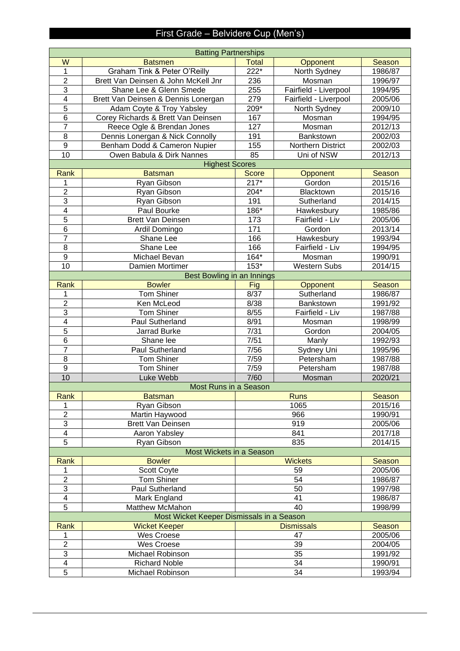# First Grade – Belvidere Cup (Men's)

| <b>Batsmen</b><br>Opponent<br>Season<br>222*<br>Graham Tink & Peter O'Reilly<br>1986/87<br>1<br>North Sydney<br>$\overline{2}$<br>Brett Van Deinsen & John McKell Jnr<br>236<br>Mosman<br>1996/97<br>$\overline{3}$<br>Shane Lee & Glenn Smede<br>255<br>Fairfield - Liverpool<br>1994/95<br>4<br>279<br>2005/06<br>Brett Van Deinsen & Dennis Lonergan<br>Fairfield - Liverpool<br>5<br>209*<br>Adam Coyte & Troy Yabsley<br>2009/10<br>North Sydney<br>6<br>Corey Richards & Brett Van Deinsen<br>167<br>Mosman<br>1994/95<br>$\overline{7}$<br>Reece Ogle & Brendan Jones<br>127<br>2012/13<br>Mosman<br>8<br>Dennis Lonergan & Nick Connolly<br>191<br>2002/03<br>Bankstown<br>$\boldsymbol{9}$<br>155<br>2002/03<br>Benham Dodd & Cameron Nupier<br><b>Northern District</b><br>10<br>85<br>2012/13<br>Owen Babula & Dirk Nannes<br>Uni of NSW<br><b>Highest Scores</b><br>Score<br><b>Rank</b><br><b>Batsman</b><br><b>Season</b><br>Opponent<br>$217*$<br>2015/16<br>Ryan Gibson<br>Gordon<br>1<br>$\overline{2}$<br>204*<br>2015/16<br>Ryan Gibson<br>Blacktown<br>$\overline{3}$<br>191<br>Sutherland<br>2014/15<br>Ryan Gibson<br>$186*$<br>4<br>Paul Bourke<br>1985/86<br>Hawkesbury<br>5<br>173<br>Fairfield - Liv<br>2005/06<br>Brett Van Deinsen<br>6<br>171<br>2013/14<br>Ardil Domingo<br>Gordon<br>$\overline{7}$<br>Shane Lee<br>166<br>Hawkesbury<br>1993/94<br>8<br>166<br>Shane Lee<br>Fairfield - Liv<br>1994/95<br>$\boldsymbol{9}$<br>$164*$<br>Michael Bevan<br>Mosman<br>1990/91<br>$153*$<br>10<br><b>Western Subs</b><br>2014/15<br>Damien Mortimer<br>Best Bowling in an Innings<br><b>Bowler</b><br>Rank<br>Fig<br>Season<br>Opponent<br><b>Tom Shiner</b><br>8/37<br>Sutherland<br>1986/87<br>1<br>$\overline{2}$<br>Ken McLeod<br>8/38<br>1991/92<br>Bankstown<br>$\overline{3}$<br><b>Tom Shiner</b><br>8/55<br>Fairfield - Liv<br>1987/88<br>4<br>Paul Sutherland<br>8/91<br>Mosman<br>1998/99<br>5<br>7/31<br>Jarrad Burke<br>Gordon<br>2004/05<br>6<br>7/51<br>Shane lee<br>Manly<br>1992/93<br>$\overline{7}$<br><b>Paul Sutherland</b><br>7/56<br>Sydney Uni<br>1995/96<br>8<br>7/59<br><b>Tom Shiner</b><br>Petersham<br>1987/88<br><b>Tom Shiner</b><br>$\boldsymbol{9}$<br>7/59<br>Petersham<br>1987/88<br>10<br>7/60<br>Luke Webb<br>2020/21<br>Mosman<br>Most Runs in a Season<br>Rank<br><b>Batsman</b><br><b>Runs</b><br>Season<br>2015/16<br>1<br>Ryan Gibson<br>1065<br>$\overline{2}$<br>966<br>Martin Haywood<br>1990/91<br>3<br>919<br>2005/06<br><b>Brett Van Deinsen</b><br>4<br>Aaron Yabsley<br>841<br>2017/18<br>5<br>835<br>2014/15<br>Ryan Gibson<br>Most Wickets in a Season<br><b>Bowler</b><br><b>Wickets</b><br>Season<br><b>Rank</b><br>59<br>2005/06<br>Scott Coyte<br>$\overline{2}$<br>54<br><b>Tom Shiner</b><br>1986/87<br>3<br>50<br>Paul Sutherland<br>1997/98<br>Mark England<br>41<br>4<br>1986/87<br>5<br>Matthew McMahon<br>40<br>1998/99<br>Most Wicket Keeper Dismissals in a Season<br>Wicket Keeper<br><b>Dismissals</b><br>Season<br>Rank<br>2005/06<br>Wes Croese<br>47<br>1<br>$\overline{2}$<br>Wes Croese<br>39<br>2004/05<br>3<br>35<br>Michael Robinson<br>1991/92<br>34<br>4<br><b>Richard Noble</b><br>1990/91<br>5<br>34<br>Michael Robinson<br>1993/94 | <b>Batting Partnerships</b> |  |       |  |  |
|------------------------------------------------------------------------------------------------------------------------------------------------------------------------------------------------------------------------------------------------------------------------------------------------------------------------------------------------------------------------------------------------------------------------------------------------------------------------------------------------------------------------------------------------------------------------------------------------------------------------------------------------------------------------------------------------------------------------------------------------------------------------------------------------------------------------------------------------------------------------------------------------------------------------------------------------------------------------------------------------------------------------------------------------------------------------------------------------------------------------------------------------------------------------------------------------------------------------------------------------------------------------------------------------------------------------------------------------------------------------------------------------------------------------------------------------------------------------------------------------------------------------------------------------------------------------------------------------------------------------------------------------------------------------------------------------------------------------------------------------------------------------------------------------------------------------------------------------------------------------------------------------------------------------------------------------------------------------------------------------------------------------------------------------------------------------------------------------------------------------------------------------------------------------------------------------------------------------------------------------------------------------------------------------------------------------------------------------------------------------------------------------------------------------------------------------------------------------------------------------------------------------------------------------------------------------------------------------------------------------------------------------------------------------------------------------------------------------------------------------------------------------------------------------------------------------------------------------------------------------------------------------------------------------------------------------------------------------------------------------------------------------------------------------------------------------------------------------------------------------------------------------------------------------------------------------------------------------------------------------|-----------------------------|--|-------|--|--|
|                                                                                                                                                                                                                                                                                                                                                                                                                                                                                                                                                                                                                                                                                                                                                                                                                                                                                                                                                                                                                                                                                                                                                                                                                                                                                                                                                                                                                                                                                                                                                                                                                                                                                                                                                                                                                                                                                                                                                                                                                                                                                                                                                                                                                                                                                                                                                                                                                                                                                                                                                                                                                                                                                                                                                                                                                                                                                                                                                                                                                                                                                                                                                                                                                                                | $\overline{\mathsf{W}}$     |  | Total |  |  |
|                                                                                                                                                                                                                                                                                                                                                                                                                                                                                                                                                                                                                                                                                                                                                                                                                                                                                                                                                                                                                                                                                                                                                                                                                                                                                                                                                                                                                                                                                                                                                                                                                                                                                                                                                                                                                                                                                                                                                                                                                                                                                                                                                                                                                                                                                                                                                                                                                                                                                                                                                                                                                                                                                                                                                                                                                                                                                                                                                                                                                                                                                                                                                                                                                                                |                             |  |       |  |  |
|                                                                                                                                                                                                                                                                                                                                                                                                                                                                                                                                                                                                                                                                                                                                                                                                                                                                                                                                                                                                                                                                                                                                                                                                                                                                                                                                                                                                                                                                                                                                                                                                                                                                                                                                                                                                                                                                                                                                                                                                                                                                                                                                                                                                                                                                                                                                                                                                                                                                                                                                                                                                                                                                                                                                                                                                                                                                                                                                                                                                                                                                                                                                                                                                                                                |                             |  |       |  |  |
|                                                                                                                                                                                                                                                                                                                                                                                                                                                                                                                                                                                                                                                                                                                                                                                                                                                                                                                                                                                                                                                                                                                                                                                                                                                                                                                                                                                                                                                                                                                                                                                                                                                                                                                                                                                                                                                                                                                                                                                                                                                                                                                                                                                                                                                                                                                                                                                                                                                                                                                                                                                                                                                                                                                                                                                                                                                                                                                                                                                                                                                                                                                                                                                                                                                |                             |  |       |  |  |
|                                                                                                                                                                                                                                                                                                                                                                                                                                                                                                                                                                                                                                                                                                                                                                                                                                                                                                                                                                                                                                                                                                                                                                                                                                                                                                                                                                                                                                                                                                                                                                                                                                                                                                                                                                                                                                                                                                                                                                                                                                                                                                                                                                                                                                                                                                                                                                                                                                                                                                                                                                                                                                                                                                                                                                                                                                                                                                                                                                                                                                                                                                                                                                                                                                                |                             |  |       |  |  |
|                                                                                                                                                                                                                                                                                                                                                                                                                                                                                                                                                                                                                                                                                                                                                                                                                                                                                                                                                                                                                                                                                                                                                                                                                                                                                                                                                                                                                                                                                                                                                                                                                                                                                                                                                                                                                                                                                                                                                                                                                                                                                                                                                                                                                                                                                                                                                                                                                                                                                                                                                                                                                                                                                                                                                                                                                                                                                                                                                                                                                                                                                                                                                                                                                                                |                             |  |       |  |  |
|                                                                                                                                                                                                                                                                                                                                                                                                                                                                                                                                                                                                                                                                                                                                                                                                                                                                                                                                                                                                                                                                                                                                                                                                                                                                                                                                                                                                                                                                                                                                                                                                                                                                                                                                                                                                                                                                                                                                                                                                                                                                                                                                                                                                                                                                                                                                                                                                                                                                                                                                                                                                                                                                                                                                                                                                                                                                                                                                                                                                                                                                                                                                                                                                                                                |                             |  |       |  |  |
|                                                                                                                                                                                                                                                                                                                                                                                                                                                                                                                                                                                                                                                                                                                                                                                                                                                                                                                                                                                                                                                                                                                                                                                                                                                                                                                                                                                                                                                                                                                                                                                                                                                                                                                                                                                                                                                                                                                                                                                                                                                                                                                                                                                                                                                                                                                                                                                                                                                                                                                                                                                                                                                                                                                                                                                                                                                                                                                                                                                                                                                                                                                                                                                                                                                |                             |  |       |  |  |
|                                                                                                                                                                                                                                                                                                                                                                                                                                                                                                                                                                                                                                                                                                                                                                                                                                                                                                                                                                                                                                                                                                                                                                                                                                                                                                                                                                                                                                                                                                                                                                                                                                                                                                                                                                                                                                                                                                                                                                                                                                                                                                                                                                                                                                                                                                                                                                                                                                                                                                                                                                                                                                                                                                                                                                                                                                                                                                                                                                                                                                                                                                                                                                                                                                                |                             |  |       |  |  |
|                                                                                                                                                                                                                                                                                                                                                                                                                                                                                                                                                                                                                                                                                                                                                                                                                                                                                                                                                                                                                                                                                                                                                                                                                                                                                                                                                                                                                                                                                                                                                                                                                                                                                                                                                                                                                                                                                                                                                                                                                                                                                                                                                                                                                                                                                                                                                                                                                                                                                                                                                                                                                                                                                                                                                                                                                                                                                                                                                                                                                                                                                                                                                                                                                                                |                             |  |       |  |  |
|                                                                                                                                                                                                                                                                                                                                                                                                                                                                                                                                                                                                                                                                                                                                                                                                                                                                                                                                                                                                                                                                                                                                                                                                                                                                                                                                                                                                                                                                                                                                                                                                                                                                                                                                                                                                                                                                                                                                                                                                                                                                                                                                                                                                                                                                                                                                                                                                                                                                                                                                                                                                                                                                                                                                                                                                                                                                                                                                                                                                                                                                                                                                                                                                                                                |                             |  |       |  |  |
|                                                                                                                                                                                                                                                                                                                                                                                                                                                                                                                                                                                                                                                                                                                                                                                                                                                                                                                                                                                                                                                                                                                                                                                                                                                                                                                                                                                                                                                                                                                                                                                                                                                                                                                                                                                                                                                                                                                                                                                                                                                                                                                                                                                                                                                                                                                                                                                                                                                                                                                                                                                                                                                                                                                                                                                                                                                                                                                                                                                                                                                                                                                                                                                                                                                |                             |  |       |  |  |
|                                                                                                                                                                                                                                                                                                                                                                                                                                                                                                                                                                                                                                                                                                                                                                                                                                                                                                                                                                                                                                                                                                                                                                                                                                                                                                                                                                                                                                                                                                                                                                                                                                                                                                                                                                                                                                                                                                                                                                                                                                                                                                                                                                                                                                                                                                                                                                                                                                                                                                                                                                                                                                                                                                                                                                                                                                                                                                                                                                                                                                                                                                                                                                                                                                                |                             |  |       |  |  |
|                                                                                                                                                                                                                                                                                                                                                                                                                                                                                                                                                                                                                                                                                                                                                                                                                                                                                                                                                                                                                                                                                                                                                                                                                                                                                                                                                                                                                                                                                                                                                                                                                                                                                                                                                                                                                                                                                                                                                                                                                                                                                                                                                                                                                                                                                                                                                                                                                                                                                                                                                                                                                                                                                                                                                                                                                                                                                                                                                                                                                                                                                                                                                                                                                                                |                             |  |       |  |  |
|                                                                                                                                                                                                                                                                                                                                                                                                                                                                                                                                                                                                                                                                                                                                                                                                                                                                                                                                                                                                                                                                                                                                                                                                                                                                                                                                                                                                                                                                                                                                                                                                                                                                                                                                                                                                                                                                                                                                                                                                                                                                                                                                                                                                                                                                                                                                                                                                                                                                                                                                                                                                                                                                                                                                                                                                                                                                                                                                                                                                                                                                                                                                                                                                                                                |                             |  |       |  |  |
|                                                                                                                                                                                                                                                                                                                                                                                                                                                                                                                                                                                                                                                                                                                                                                                                                                                                                                                                                                                                                                                                                                                                                                                                                                                                                                                                                                                                                                                                                                                                                                                                                                                                                                                                                                                                                                                                                                                                                                                                                                                                                                                                                                                                                                                                                                                                                                                                                                                                                                                                                                                                                                                                                                                                                                                                                                                                                                                                                                                                                                                                                                                                                                                                                                                |                             |  |       |  |  |
|                                                                                                                                                                                                                                                                                                                                                                                                                                                                                                                                                                                                                                                                                                                                                                                                                                                                                                                                                                                                                                                                                                                                                                                                                                                                                                                                                                                                                                                                                                                                                                                                                                                                                                                                                                                                                                                                                                                                                                                                                                                                                                                                                                                                                                                                                                                                                                                                                                                                                                                                                                                                                                                                                                                                                                                                                                                                                                                                                                                                                                                                                                                                                                                                                                                |                             |  |       |  |  |
|                                                                                                                                                                                                                                                                                                                                                                                                                                                                                                                                                                                                                                                                                                                                                                                                                                                                                                                                                                                                                                                                                                                                                                                                                                                                                                                                                                                                                                                                                                                                                                                                                                                                                                                                                                                                                                                                                                                                                                                                                                                                                                                                                                                                                                                                                                                                                                                                                                                                                                                                                                                                                                                                                                                                                                                                                                                                                                                                                                                                                                                                                                                                                                                                                                                |                             |  |       |  |  |
|                                                                                                                                                                                                                                                                                                                                                                                                                                                                                                                                                                                                                                                                                                                                                                                                                                                                                                                                                                                                                                                                                                                                                                                                                                                                                                                                                                                                                                                                                                                                                                                                                                                                                                                                                                                                                                                                                                                                                                                                                                                                                                                                                                                                                                                                                                                                                                                                                                                                                                                                                                                                                                                                                                                                                                                                                                                                                                                                                                                                                                                                                                                                                                                                                                                |                             |  |       |  |  |
|                                                                                                                                                                                                                                                                                                                                                                                                                                                                                                                                                                                                                                                                                                                                                                                                                                                                                                                                                                                                                                                                                                                                                                                                                                                                                                                                                                                                                                                                                                                                                                                                                                                                                                                                                                                                                                                                                                                                                                                                                                                                                                                                                                                                                                                                                                                                                                                                                                                                                                                                                                                                                                                                                                                                                                                                                                                                                                                                                                                                                                                                                                                                                                                                                                                |                             |  |       |  |  |
|                                                                                                                                                                                                                                                                                                                                                                                                                                                                                                                                                                                                                                                                                                                                                                                                                                                                                                                                                                                                                                                                                                                                                                                                                                                                                                                                                                                                                                                                                                                                                                                                                                                                                                                                                                                                                                                                                                                                                                                                                                                                                                                                                                                                                                                                                                                                                                                                                                                                                                                                                                                                                                                                                                                                                                                                                                                                                                                                                                                                                                                                                                                                                                                                                                                |                             |  |       |  |  |
|                                                                                                                                                                                                                                                                                                                                                                                                                                                                                                                                                                                                                                                                                                                                                                                                                                                                                                                                                                                                                                                                                                                                                                                                                                                                                                                                                                                                                                                                                                                                                                                                                                                                                                                                                                                                                                                                                                                                                                                                                                                                                                                                                                                                                                                                                                                                                                                                                                                                                                                                                                                                                                                                                                                                                                                                                                                                                                                                                                                                                                                                                                                                                                                                                                                |                             |  |       |  |  |
|                                                                                                                                                                                                                                                                                                                                                                                                                                                                                                                                                                                                                                                                                                                                                                                                                                                                                                                                                                                                                                                                                                                                                                                                                                                                                                                                                                                                                                                                                                                                                                                                                                                                                                                                                                                                                                                                                                                                                                                                                                                                                                                                                                                                                                                                                                                                                                                                                                                                                                                                                                                                                                                                                                                                                                                                                                                                                                                                                                                                                                                                                                                                                                                                                                                |                             |  |       |  |  |
|                                                                                                                                                                                                                                                                                                                                                                                                                                                                                                                                                                                                                                                                                                                                                                                                                                                                                                                                                                                                                                                                                                                                                                                                                                                                                                                                                                                                                                                                                                                                                                                                                                                                                                                                                                                                                                                                                                                                                                                                                                                                                                                                                                                                                                                                                                                                                                                                                                                                                                                                                                                                                                                                                                                                                                                                                                                                                                                                                                                                                                                                                                                                                                                                                                                |                             |  |       |  |  |
|                                                                                                                                                                                                                                                                                                                                                                                                                                                                                                                                                                                                                                                                                                                                                                                                                                                                                                                                                                                                                                                                                                                                                                                                                                                                                                                                                                                                                                                                                                                                                                                                                                                                                                                                                                                                                                                                                                                                                                                                                                                                                                                                                                                                                                                                                                                                                                                                                                                                                                                                                                                                                                                                                                                                                                                                                                                                                                                                                                                                                                                                                                                                                                                                                                                |                             |  |       |  |  |
|                                                                                                                                                                                                                                                                                                                                                                                                                                                                                                                                                                                                                                                                                                                                                                                                                                                                                                                                                                                                                                                                                                                                                                                                                                                                                                                                                                                                                                                                                                                                                                                                                                                                                                                                                                                                                                                                                                                                                                                                                                                                                                                                                                                                                                                                                                                                                                                                                                                                                                                                                                                                                                                                                                                                                                                                                                                                                                                                                                                                                                                                                                                                                                                                                                                |                             |  |       |  |  |
|                                                                                                                                                                                                                                                                                                                                                                                                                                                                                                                                                                                                                                                                                                                                                                                                                                                                                                                                                                                                                                                                                                                                                                                                                                                                                                                                                                                                                                                                                                                                                                                                                                                                                                                                                                                                                                                                                                                                                                                                                                                                                                                                                                                                                                                                                                                                                                                                                                                                                                                                                                                                                                                                                                                                                                                                                                                                                                                                                                                                                                                                                                                                                                                                                                                |                             |  |       |  |  |
|                                                                                                                                                                                                                                                                                                                                                                                                                                                                                                                                                                                                                                                                                                                                                                                                                                                                                                                                                                                                                                                                                                                                                                                                                                                                                                                                                                                                                                                                                                                                                                                                                                                                                                                                                                                                                                                                                                                                                                                                                                                                                                                                                                                                                                                                                                                                                                                                                                                                                                                                                                                                                                                                                                                                                                                                                                                                                                                                                                                                                                                                                                                                                                                                                                                |                             |  |       |  |  |
|                                                                                                                                                                                                                                                                                                                                                                                                                                                                                                                                                                                                                                                                                                                                                                                                                                                                                                                                                                                                                                                                                                                                                                                                                                                                                                                                                                                                                                                                                                                                                                                                                                                                                                                                                                                                                                                                                                                                                                                                                                                                                                                                                                                                                                                                                                                                                                                                                                                                                                                                                                                                                                                                                                                                                                                                                                                                                                                                                                                                                                                                                                                                                                                                                                                |                             |  |       |  |  |
|                                                                                                                                                                                                                                                                                                                                                                                                                                                                                                                                                                                                                                                                                                                                                                                                                                                                                                                                                                                                                                                                                                                                                                                                                                                                                                                                                                                                                                                                                                                                                                                                                                                                                                                                                                                                                                                                                                                                                                                                                                                                                                                                                                                                                                                                                                                                                                                                                                                                                                                                                                                                                                                                                                                                                                                                                                                                                                                                                                                                                                                                                                                                                                                                                                                |                             |  |       |  |  |
|                                                                                                                                                                                                                                                                                                                                                                                                                                                                                                                                                                                                                                                                                                                                                                                                                                                                                                                                                                                                                                                                                                                                                                                                                                                                                                                                                                                                                                                                                                                                                                                                                                                                                                                                                                                                                                                                                                                                                                                                                                                                                                                                                                                                                                                                                                                                                                                                                                                                                                                                                                                                                                                                                                                                                                                                                                                                                                                                                                                                                                                                                                                                                                                                                                                |                             |  |       |  |  |
|                                                                                                                                                                                                                                                                                                                                                                                                                                                                                                                                                                                                                                                                                                                                                                                                                                                                                                                                                                                                                                                                                                                                                                                                                                                                                                                                                                                                                                                                                                                                                                                                                                                                                                                                                                                                                                                                                                                                                                                                                                                                                                                                                                                                                                                                                                                                                                                                                                                                                                                                                                                                                                                                                                                                                                                                                                                                                                                                                                                                                                                                                                                                                                                                                                                |                             |  |       |  |  |
|                                                                                                                                                                                                                                                                                                                                                                                                                                                                                                                                                                                                                                                                                                                                                                                                                                                                                                                                                                                                                                                                                                                                                                                                                                                                                                                                                                                                                                                                                                                                                                                                                                                                                                                                                                                                                                                                                                                                                                                                                                                                                                                                                                                                                                                                                                                                                                                                                                                                                                                                                                                                                                                                                                                                                                                                                                                                                                                                                                                                                                                                                                                                                                                                                                                |                             |  |       |  |  |
|                                                                                                                                                                                                                                                                                                                                                                                                                                                                                                                                                                                                                                                                                                                                                                                                                                                                                                                                                                                                                                                                                                                                                                                                                                                                                                                                                                                                                                                                                                                                                                                                                                                                                                                                                                                                                                                                                                                                                                                                                                                                                                                                                                                                                                                                                                                                                                                                                                                                                                                                                                                                                                                                                                                                                                                                                                                                                                                                                                                                                                                                                                                                                                                                                                                |                             |  |       |  |  |
|                                                                                                                                                                                                                                                                                                                                                                                                                                                                                                                                                                                                                                                                                                                                                                                                                                                                                                                                                                                                                                                                                                                                                                                                                                                                                                                                                                                                                                                                                                                                                                                                                                                                                                                                                                                                                                                                                                                                                                                                                                                                                                                                                                                                                                                                                                                                                                                                                                                                                                                                                                                                                                                                                                                                                                                                                                                                                                                                                                                                                                                                                                                                                                                                                                                |                             |  |       |  |  |
|                                                                                                                                                                                                                                                                                                                                                                                                                                                                                                                                                                                                                                                                                                                                                                                                                                                                                                                                                                                                                                                                                                                                                                                                                                                                                                                                                                                                                                                                                                                                                                                                                                                                                                                                                                                                                                                                                                                                                                                                                                                                                                                                                                                                                                                                                                                                                                                                                                                                                                                                                                                                                                                                                                                                                                                                                                                                                                                                                                                                                                                                                                                                                                                                                                                |                             |  |       |  |  |
|                                                                                                                                                                                                                                                                                                                                                                                                                                                                                                                                                                                                                                                                                                                                                                                                                                                                                                                                                                                                                                                                                                                                                                                                                                                                                                                                                                                                                                                                                                                                                                                                                                                                                                                                                                                                                                                                                                                                                                                                                                                                                                                                                                                                                                                                                                                                                                                                                                                                                                                                                                                                                                                                                                                                                                                                                                                                                                                                                                                                                                                                                                                                                                                                                                                |                             |  |       |  |  |
|                                                                                                                                                                                                                                                                                                                                                                                                                                                                                                                                                                                                                                                                                                                                                                                                                                                                                                                                                                                                                                                                                                                                                                                                                                                                                                                                                                                                                                                                                                                                                                                                                                                                                                                                                                                                                                                                                                                                                                                                                                                                                                                                                                                                                                                                                                                                                                                                                                                                                                                                                                                                                                                                                                                                                                                                                                                                                                                                                                                                                                                                                                                                                                                                                                                |                             |  |       |  |  |
|                                                                                                                                                                                                                                                                                                                                                                                                                                                                                                                                                                                                                                                                                                                                                                                                                                                                                                                                                                                                                                                                                                                                                                                                                                                                                                                                                                                                                                                                                                                                                                                                                                                                                                                                                                                                                                                                                                                                                                                                                                                                                                                                                                                                                                                                                                                                                                                                                                                                                                                                                                                                                                                                                                                                                                                                                                                                                                                                                                                                                                                                                                                                                                                                                                                |                             |  |       |  |  |
|                                                                                                                                                                                                                                                                                                                                                                                                                                                                                                                                                                                                                                                                                                                                                                                                                                                                                                                                                                                                                                                                                                                                                                                                                                                                                                                                                                                                                                                                                                                                                                                                                                                                                                                                                                                                                                                                                                                                                                                                                                                                                                                                                                                                                                                                                                                                                                                                                                                                                                                                                                                                                                                                                                                                                                                                                                                                                                                                                                                                                                                                                                                                                                                                                                                |                             |  |       |  |  |
|                                                                                                                                                                                                                                                                                                                                                                                                                                                                                                                                                                                                                                                                                                                                                                                                                                                                                                                                                                                                                                                                                                                                                                                                                                                                                                                                                                                                                                                                                                                                                                                                                                                                                                                                                                                                                                                                                                                                                                                                                                                                                                                                                                                                                                                                                                                                                                                                                                                                                                                                                                                                                                                                                                                                                                                                                                                                                                                                                                                                                                                                                                                                                                                                                                                |                             |  |       |  |  |
|                                                                                                                                                                                                                                                                                                                                                                                                                                                                                                                                                                                                                                                                                                                                                                                                                                                                                                                                                                                                                                                                                                                                                                                                                                                                                                                                                                                                                                                                                                                                                                                                                                                                                                                                                                                                                                                                                                                                                                                                                                                                                                                                                                                                                                                                                                                                                                                                                                                                                                                                                                                                                                                                                                                                                                                                                                                                                                                                                                                                                                                                                                                                                                                                                                                |                             |  |       |  |  |
|                                                                                                                                                                                                                                                                                                                                                                                                                                                                                                                                                                                                                                                                                                                                                                                                                                                                                                                                                                                                                                                                                                                                                                                                                                                                                                                                                                                                                                                                                                                                                                                                                                                                                                                                                                                                                                                                                                                                                                                                                                                                                                                                                                                                                                                                                                                                                                                                                                                                                                                                                                                                                                                                                                                                                                                                                                                                                                                                                                                                                                                                                                                                                                                                                                                |                             |  |       |  |  |
|                                                                                                                                                                                                                                                                                                                                                                                                                                                                                                                                                                                                                                                                                                                                                                                                                                                                                                                                                                                                                                                                                                                                                                                                                                                                                                                                                                                                                                                                                                                                                                                                                                                                                                                                                                                                                                                                                                                                                                                                                                                                                                                                                                                                                                                                                                                                                                                                                                                                                                                                                                                                                                                                                                                                                                                                                                                                                                                                                                                                                                                                                                                                                                                                                                                |                             |  |       |  |  |
|                                                                                                                                                                                                                                                                                                                                                                                                                                                                                                                                                                                                                                                                                                                                                                                                                                                                                                                                                                                                                                                                                                                                                                                                                                                                                                                                                                                                                                                                                                                                                                                                                                                                                                                                                                                                                                                                                                                                                                                                                                                                                                                                                                                                                                                                                                                                                                                                                                                                                                                                                                                                                                                                                                                                                                                                                                                                                                                                                                                                                                                                                                                                                                                                                                                |                             |  |       |  |  |
|                                                                                                                                                                                                                                                                                                                                                                                                                                                                                                                                                                                                                                                                                                                                                                                                                                                                                                                                                                                                                                                                                                                                                                                                                                                                                                                                                                                                                                                                                                                                                                                                                                                                                                                                                                                                                                                                                                                                                                                                                                                                                                                                                                                                                                                                                                                                                                                                                                                                                                                                                                                                                                                                                                                                                                                                                                                                                                                                                                                                                                                                                                                                                                                                                                                |                             |  |       |  |  |
|                                                                                                                                                                                                                                                                                                                                                                                                                                                                                                                                                                                                                                                                                                                                                                                                                                                                                                                                                                                                                                                                                                                                                                                                                                                                                                                                                                                                                                                                                                                                                                                                                                                                                                                                                                                                                                                                                                                                                                                                                                                                                                                                                                                                                                                                                                                                                                                                                                                                                                                                                                                                                                                                                                                                                                                                                                                                                                                                                                                                                                                                                                                                                                                                                                                |                             |  |       |  |  |
|                                                                                                                                                                                                                                                                                                                                                                                                                                                                                                                                                                                                                                                                                                                                                                                                                                                                                                                                                                                                                                                                                                                                                                                                                                                                                                                                                                                                                                                                                                                                                                                                                                                                                                                                                                                                                                                                                                                                                                                                                                                                                                                                                                                                                                                                                                                                                                                                                                                                                                                                                                                                                                                                                                                                                                                                                                                                                                                                                                                                                                                                                                                                                                                                                                                |                             |  |       |  |  |
|                                                                                                                                                                                                                                                                                                                                                                                                                                                                                                                                                                                                                                                                                                                                                                                                                                                                                                                                                                                                                                                                                                                                                                                                                                                                                                                                                                                                                                                                                                                                                                                                                                                                                                                                                                                                                                                                                                                                                                                                                                                                                                                                                                                                                                                                                                                                                                                                                                                                                                                                                                                                                                                                                                                                                                                                                                                                                                                                                                                                                                                                                                                                                                                                                                                |                             |  |       |  |  |
|                                                                                                                                                                                                                                                                                                                                                                                                                                                                                                                                                                                                                                                                                                                                                                                                                                                                                                                                                                                                                                                                                                                                                                                                                                                                                                                                                                                                                                                                                                                                                                                                                                                                                                                                                                                                                                                                                                                                                                                                                                                                                                                                                                                                                                                                                                                                                                                                                                                                                                                                                                                                                                                                                                                                                                                                                                                                                                                                                                                                                                                                                                                                                                                                                                                |                             |  |       |  |  |
|                                                                                                                                                                                                                                                                                                                                                                                                                                                                                                                                                                                                                                                                                                                                                                                                                                                                                                                                                                                                                                                                                                                                                                                                                                                                                                                                                                                                                                                                                                                                                                                                                                                                                                                                                                                                                                                                                                                                                                                                                                                                                                                                                                                                                                                                                                                                                                                                                                                                                                                                                                                                                                                                                                                                                                                                                                                                                                                                                                                                                                                                                                                                                                                                                                                |                             |  |       |  |  |
|                                                                                                                                                                                                                                                                                                                                                                                                                                                                                                                                                                                                                                                                                                                                                                                                                                                                                                                                                                                                                                                                                                                                                                                                                                                                                                                                                                                                                                                                                                                                                                                                                                                                                                                                                                                                                                                                                                                                                                                                                                                                                                                                                                                                                                                                                                                                                                                                                                                                                                                                                                                                                                                                                                                                                                                                                                                                                                                                                                                                                                                                                                                                                                                                                                                |                             |  |       |  |  |
|                                                                                                                                                                                                                                                                                                                                                                                                                                                                                                                                                                                                                                                                                                                                                                                                                                                                                                                                                                                                                                                                                                                                                                                                                                                                                                                                                                                                                                                                                                                                                                                                                                                                                                                                                                                                                                                                                                                                                                                                                                                                                                                                                                                                                                                                                                                                                                                                                                                                                                                                                                                                                                                                                                                                                                                                                                                                                                                                                                                                                                                                                                                                                                                                                                                |                             |  |       |  |  |
|                                                                                                                                                                                                                                                                                                                                                                                                                                                                                                                                                                                                                                                                                                                                                                                                                                                                                                                                                                                                                                                                                                                                                                                                                                                                                                                                                                                                                                                                                                                                                                                                                                                                                                                                                                                                                                                                                                                                                                                                                                                                                                                                                                                                                                                                                                                                                                                                                                                                                                                                                                                                                                                                                                                                                                                                                                                                                                                                                                                                                                                                                                                                                                                                                                                |                             |  |       |  |  |
|                                                                                                                                                                                                                                                                                                                                                                                                                                                                                                                                                                                                                                                                                                                                                                                                                                                                                                                                                                                                                                                                                                                                                                                                                                                                                                                                                                                                                                                                                                                                                                                                                                                                                                                                                                                                                                                                                                                                                                                                                                                                                                                                                                                                                                                                                                                                                                                                                                                                                                                                                                                                                                                                                                                                                                                                                                                                                                                                                                                                                                                                                                                                                                                                                                                |                             |  |       |  |  |
|                                                                                                                                                                                                                                                                                                                                                                                                                                                                                                                                                                                                                                                                                                                                                                                                                                                                                                                                                                                                                                                                                                                                                                                                                                                                                                                                                                                                                                                                                                                                                                                                                                                                                                                                                                                                                                                                                                                                                                                                                                                                                                                                                                                                                                                                                                                                                                                                                                                                                                                                                                                                                                                                                                                                                                                                                                                                                                                                                                                                                                                                                                                                                                                                                                                |                             |  |       |  |  |
|                                                                                                                                                                                                                                                                                                                                                                                                                                                                                                                                                                                                                                                                                                                                                                                                                                                                                                                                                                                                                                                                                                                                                                                                                                                                                                                                                                                                                                                                                                                                                                                                                                                                                                                                                                                                                                                                                                                                                                                                                                                                                                                                                                                                                                                                                                                                                                                                                                                                                                                                                                                                                                                                                                                                                                                                                                                                                                                                                                                                                                                                                                                                                                                                                                                |                             |  |       |  |  |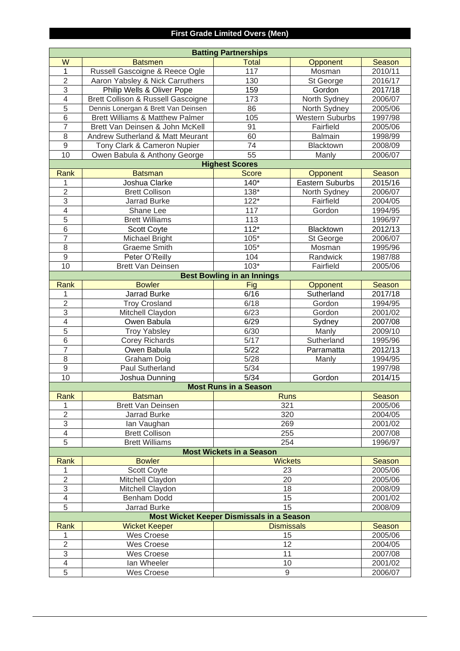## **First Grade Limited Overs (Men)**

| <b>Batting Partnerships</b> |                                               |                                           |                        |               |  |
|-----------------------------|-----------------------------------------------|-------------------------------------------|------------------------|---------------|--|
| W                           | <b>Batsmen</b>                                | <b>Total</b>                              | Opponent               | Season        |  |
| 1                           | Russell Gascoigne & Reece Ogle                | 117                                       | Mosman                 | 2010/11       |  |
| $\overline{2}$              | Aaron Yabsley & Nick Carruthers               | 130                                       | St George              | 2016/17       |  |
| $\overline{3}$              | Philip Wells & Oliver Pope                    | 159                                       | Gordon                 | 2017/18       |  |
| $\overline{4}$              | <b>Brett Collison &amp; Russell Gascoigne</b> | 173                                       | North Sydney           | 2006/07       |  |
| 5                           | Dennis Lonergan & Brett Van Deinsen           | 86                                        | North Sydney           | 2005/06       |  |
| 6                           | <b>Brett Williams &amp; Matthew Palmer</b>    | 105                                       | <b>Western Suburbs</b> | 1997/98       |  |
| $\overline{7}$              | Brett Van Deinsen & John McKell               | 91                                        | Fairfield              | 2005/06       |  |
| 8                           | Andrew Sutherland & Matt Meurant              | 60                                        | <b>Balmain</b>         | 1998/99       |  |
| 9                           | Tony Clark & Cameron Nupier                   | 74                                        | Blacktown              | 2008/09       |  |
| 10                          | Owen Babula & Anthony George                  | 55                                        | Manly                  | 2006/07       |  |
|                             |                                               | <b>Highest Scores</b>                     |                        |               |  |
| Rank                        | <b>Batsman</b>                                | <b>Score</b>                              | Opponent               | Season        |  |
| 1                           | Joshua Clarke                                 | $140*$                                    | Eastern Suburbs        | 2015/16       |  |
| $\overline{2}$              | <b>Brett Collison</b>                         | $138*$                                    | North Sydney           | 2006/07       |  |
| 3                           | Jarrad Burke                                  | $122*$                                    | Fairfield              | 2004/05       |  |
| $\overline{4}$              | Shane Lee                                     | 117                                       | Gordon                 | 1994/95       |  |
| $\overline{5}$              | <b>Brett Williams</b>                         | 113                                       |                        | 1996/97       |  |
| $\,6$                       | Scott Coyte                                   | $112*$                                    | Blacktown              | 2012/13       |  |
| $\overline{7}$              | Michael Bright                                | $105*$                                    | St George              | 2006/07       |  |
| 8                           | <b>Graeme Smith</b>                           | $105*$                                    | Mosman                 | 1995/96       |  |
| $9\,$                       | Peter O'Reilly                                | 104                                       | Randwick               | 1987/88       |  |
| 10                          | <b>Brett Van Deinsen</b>                      | $103*$                                    | Fairfield              | 2005/06       |  |
|                             |                                               | <b>Best Bowling in an Innings</b>         |                        |               |  |
| Rank                        | <b>Bowler</b>                                 | <b>Fig</b>                                | Opponent               | Season        |  |
| 1                           | Jarrad Burke                                  | 6/16                                      | Sutherland             | 2017/18       |  |
| $\overline{2}$              | <b>Troy Crosland</b>                          | 6/18                                      | Gordon                 | 1994/95       |  |
| 3                           | Mitchell Claydon                              | 6/23                                      | Gordon                 | 2001/02       |  |
| $\overline{4}$              | Owen Babula                                   | 6/29                                      | Sydney                 | 2007/08       |  |
| $\overline{5}$              | <b>Troy Yabsley</b>                           | 6/30                                      | Manly                  | 2009/10       |  |
| $\,6$                       | <b>Corey Richards</b>                         | 5/17                                      | Sutherland             | 1995/96       |  |
| $\overline{7}$              | Owen Babula                                   | 5/22                                      | Parramatta             | 2012/13       |  |
| 8                           | Graham Doig                                   | 5/28                                      | Manly                  | 1994/95       |  |
| 9                           | <b>Paul Sutherland</b>                        | $5/34$                                    |                        | 1997/98       |  |
| 10                          | Joshua Dunning                                | 5/34                                      | Gordon                 | 2014/15       |  |
|                             |                                               | <b>Most Runs in a Season</b>              |                        |               |  |
| Rank                        | <b>Batsman</b>                                | <b>Runs</b>                               |                        | <b>Season</b> |  |
| 1                           | <b>Brett Van Deinsen</b>                      | 321                                       |                        | 2005/06       |  |
| $\overline{2}$              | Jarrad Burke                                  | 320                                       |                        | 2004/05       |  |
| 3                           | lan Vaughan                                   | 269                                       |                        | 2001/02       |  |
| $\overline{4}$              | <b>Brett Collison</b>                         | 255                                       |                        | 2007/08       |  |
| 5                           | <b>Brett Williams</b>                         | 254                                       |                        | 1996/97       |  |
|                             |                                               | <b>Most Wickets in a Season</b>           |                        |               |  |
| Rank                        | <b>Bowler</b>                                 | <b>Wickets</b>                            |                        | Season        |  |
| 1                           | <b>Scott Coyte</b>                            | 23                                        |                        | 2005/06       |  |
| $\overline{2}$              | Mitchell Claydon                              | 20                                        |                        | 2005/06       |  |
| 3                           | Mitchell Claydon                              | 18                                        |                        | 2008/09       |  |
| $\overline{4}$              | Benham Dodd                                   | 15                                        |                        | 2001/02       |  |
| 5                           | Jarrad Burke                                  | 15                                        |                        | 2008/09       |  |
|                             |                                               | Most Wicket Keeper Dismissals in a Season |                        |               |  |
| Rank                        | <b>Wicket Keeper</b>                          | <b>Dismissals</b>                         |                        | Season        |  |
| 1                           | Wes Croese                                    | 15                                        |                        | 2005/06       |  |
| $\overline{2}$              | Wes Croese                                    | 12                                        |                        | 2004/05       |  |
| 3                           | <b>Wes Croese</b>                             | 11                                        |                        | 2007/08       |  |
| $\overline{4}$              | lan Wheeler                                   | 10                                        |                        | 2001/02       |  |
| 5                           | <b>Wes Croese</b>                             | 9                                         |                        | 2006/07       |  |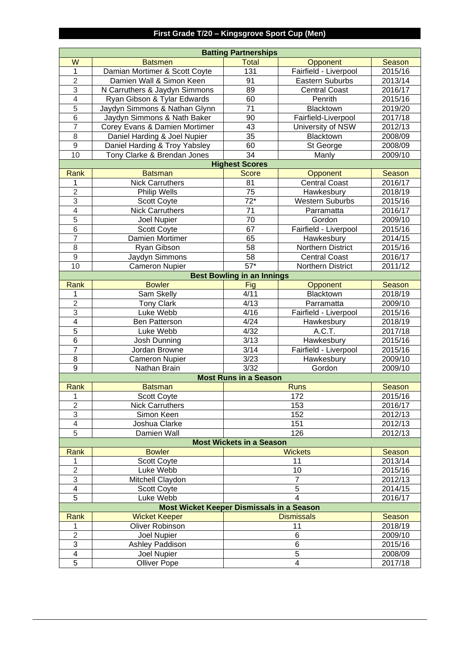# **First Grade T/20 – Kingsgrove Sport Cup (Men)**

|                         |                                           | <b>Batting Partnerships</b>       |                        |               |
|-------------------------|-------------------------------------------|-----------------------------------|------------------------|---------------|
| W                       | <b>Batsmen</b>                            | <b>Total</b>                      | Opponent               | Season        |
| 1                       | Damian Mortimer & Scott Coyte             | 131                               | Fairfield - Liverpool  | 2015/16       |
| $\overline{2}$          | Damien Wall & Simon Keen                  | 91                                | Eastern Suburbs        | 2013/14       |
| 3                       | N Carruthers & Jaydyn Simmons             | 89                                | <b>Central Coast</b>   | 2016/17       |
| $\overline{4}$          | Ryan Gibson & Tylar Edwards               | 60                                | Penrith                | 2015/16       |
| $\overline{5}$          | Jaydyn Simmons & Nathan Glynn             | 71                                | Blacktown              | 2019/20       |
| 6                       | Jaydyn Simmons & Nath Baker               | 90                                | Fairfield-Liverpool    | 2017/18       |
| $\overline{7}$          | Corey Evans & Damien Mortimer             | 43                                | University of NSW      | 2012/13       |
| 8                       | Daniel Harding & Joel Nupier              | 35                                | Blacktown              | 2008/09       |
| 9                       | Daniel Harding & Troy Yabsley             | 60                                | St George              | 2008/09       |
| 10                      | Tony Clarke & Brendan Jones               | 34                                | Manly                  | 2009/10       |
|                         |                                           | <b>Highest Scores</b>             |                        |               |
| Rank                    | <b>Batsman</b>                            | <b>Score</b>                      | Opponent               | Season        |
| 1                       | <b>Nick Carruthers</b>                    | 81                                | <b>Central Coast</b>   | 2016/17       |
| $\overline{2}$          | Philip Wells                              | 75                                | Hawkesbury             | 2018/19       |
| 3                       | <b>Scott Coyte</b>                        | $72*$                             | <b>Western Suburbs</b> | 2015/16       |
| $\overline{4}$          | <b>Nick Carruthers</b>                    | 71                                | Parramatta             | 2016/17       |
| $\overline{5}$          | <b>Joel Nupier</b>                        | 70                                | Gordon                 | 2009/10       |
| 6                       | <b>Scott Coyte</b>                        | 67                                | Fairfield - Liverpool  | 2015/16       |
| $\overline{7}$          | Damien Mortimer                           | 65                                | Hawkesbury             | 2014/15       |
| 8                       | Ryan Gibson                               | 58                                | Northern District      | 2015/16       |
| 9                       | Jaydyn Simmons                            | 58                                | <b>Central Coast</b>   | 2016/17       |
| 10                      | <b>Cameron Nupier</b>                     | $57*$                             | Northern District      | 2011/12       |
|                         |                                           | <b>Best Bowling in an Innings</b> |                        |               |
| Rank                    | <b>Bowler</b>                             | Fig                               | Opponent               | Season        |
| 1                       | Sam Skelly                                | 4/11                              | Blacktown              | 2018/19       |
| $\overline{2}$          | <b>Tony Clark</b>                         | 4/13                              | Parramatta             | 2009/10       |
| 3                       | Luke Webb                                 | 4/16                              | Fairfield - Liverpool  | 2015/16       |
| $\overline{\mathbf{4}}$ | Ben Patterson                             | 4/24                              | Hawkesbury             | 2018/19       |
| $\overline{5}$          | Luke Webb                                 | 4/32                              | A.C.T.                 | 2017/18       |
| 6                       | Josh Dunning                              | 3/13                              | Hawkesbury             | 2015/16       |
| $\overline{7}$          | Jordan Browne                             | 3/14                              | Fairfield - Liverpool  | 2015/16       |
| 8                       | <b>Cameron Nupier</b>                     | 3/23                              | Hawkesbury             | 2009/10       |
| 9                       | Nathan Brain                              | 3/32                              | Gordon                 | 2009/10       |
|                         |                                           | <b>Most Runs in a Season</b>      |                        |               |
| Rank                    | <b>Batsman</b>                            |                                   | <b>Runs</b>            | <b>Season</b> |
| $\mathbf{1}$            | Scott Coyte                               |                                   | 172                    | 2015/16       |
| $\overline{2}$          | <b>Nick Carruthers</b>                    |                                   | 153                    | 2016/17       |
| 3                       | Simon Keen                                |                                   | 152                    | 2012/13       |
| $\overline{4}$          | Joshua Clarke                             |                                   | 151                    | 2012/13       |
| 5                       | Damien Wall                               |                                   | 126                    | 2012/13       |
|                         |                                           | <b>Most Wickets in a Season</b>   |                        |               |
| Rank                    | <b>Bowler</b>                             |                                   | <b>Wickets</b>         | Season        |
| 1                       | <b>Scott Coyte</b>                        |                                   | 11                     | 2013/14       |
| $\overline{2}$          | Luke Webb                                 |                                   | 10                     | 2015/16       |
| 3                       | Mitchell Claydon                          |                                   | $\overline{7}$         | 2012/13       |
| 4                       | Scott Coyte                               |                                   | 5                      | 2014/15       |
| 5                       | Luke Webb                                 |                                   | $\overline{4}$         | 2016/17       |
|                         | Most Wicket Keeper Dismissals in a Season |                                   |                        |               |
| Rank                    | <b>Wicket Keeper</b>                      |                                   | <b>Dismissals</b>      | Season        |
| 1                       | <b>Oliver Robinson</b>                    |                                   | 11                     | 2018/19       |
| $\overline{2}$          | Joel Nupier                               |                                   | 6                      | 2009/10       |
| 3                       | Ashley Paddison                           |                                   | 6                      | 2015/16       |
| 4                       | Joel Nupier                               |                                   | 5                      | 2008/09       |
| 5                       | <b>Olliver Pope</b>                       |                                   | 2017/18                |               |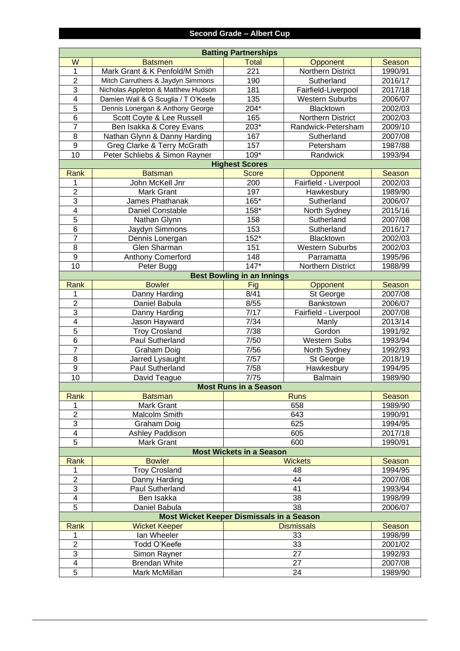|                      | <b>Batting Partnerships</b>                      |                                   |                          |                    |  |  |
|----------------------|--------------------------------------------------|-----------------------------------|--------------------------|--------------------|--|--|
| W                    | <b>Batsmen</b>                                   | <b>Total</b>                      | Opponent                 | <b>Season</b>      |  |  |
| $\overline{1}$       | Mark Grant & K Penfold/M Smith                   | 221                               | Northern District        | 1990/91            |  |  |
| $\overline{2}$       | Mitch Carruthers & Jaydyn Simmons                | 190                               | Sutherland               | 2016/17            |  |  |
| $\overline{3}$       | Nicholas Appleton & Matthew Hudson               | 181                               | Fairfield-Liverpool      | 2017/18            |  |  |
| $\overline{4}$       | Damien Wall & G Scuglia / T O'Keefe              | 135                               | <b>Western Suburbs</b>   | 2006/07            |  |  |
| $\overline{5}$       | Dennis Lonergan & Anthony George                 | $204*$                            | Blacktown                | 2002/03            |  |  |
| $\overline{6}$       | Scott Coyte & Lee Russell                        | 165                               | Northern District        | 2002/03            |  |  |
| $\overline{7}$       | Ben Isakka & Corey Evans                         | $203*$                            | Randwick-Petersham       | 2009/10            |  |  |
| $\overline{8}$       | Nathan Glynn & Danny Harding                     | 167                               | Sutherland               | 2007/08            |  |  |
| $\overline{9}$       | Greg Clarke & Terry McGrath                      | 157                               | Petersham                | 1987/88            |  |  |
| 10                   | Peter Schliebs & Simon Rayner                    | 109*                              | Randwick                 | 1993/94            |  |  |
|                      |                                                  | <b>Highest Scores</b>             |                          |                    |  |  |
| Rank                 | <b>Batsman</b>                                   | <b>Score</b>                      | Opponent                 | Season             |  |  |
| 1                    | John McKell Jnr                                  | 200                               | Fairfield - Liverpool    | 2002/03            |  |  |
| $\overline{2}$       | Mark Grant                                       | 197                               | Hawkesbury               | 1989/90            |  |  |
| $\overline{3}$       | James Phathanak                                  | 165*                              | Sutherland               | 2006/07            |  |  |
| $\overline{4}$       | <b>Daniel Constable</b>                          | 158*                              | North Sydney             | 2015/16            |  |  |
| $\overline{5}$       | Nathan Glynn                                     | 158                               | Sutherland               | 2007/08            |  |  |
| $\overline{6}$       | Jaydyn Simmons                                   | 153                               | Sutherland               | 2016/17            |  |  |
| $\overline{7}$       | Dennis Lonergan                                  | $152*$                            | Blacktown                | 2002/03            |  |  |
| $\overline{8}$       | Glen Sharman                                     | 151                               | <b>Western Suburbs</b>   | 2002/03            |  |  |
| $\overline{9}$       | Anthony Comerford                                | 148                               | Parramatta               | 1995/96            |  |  |
| 10                   | Peter Bugg                                       | $147*$                            | <b>Northern District</b> | 1988/99            |  |  |
|                      |                                                  | <b>Best Bowling in an Innings</b> |                          |                    |  |  |
| Rank                 | <b>Bowler</b>                                    | <b>Fig</b>                        | Opponent                 | Season             |  |  |
| 1                    | Danny Harding                                    | 8/41                              | St George                | 2007/08            |  |  |
| $\overline{2}$       | Daniel Babula                                    | 8/55                              | Bankstown                | 2006/07            |  |  |
| $\overline{3}$       | Danny Harding                                    | 7/17                              | Fairfield - Liverpool    | 2007/08            |  |  |
| $\overline{4}$       | Jason Hayward                                    | 7/34                              | Manly                    | 2013/14            |  |  |
| $\overline{5}$       | <b>Troy Crosland</b>                             | 7/38                              | Gordon                   | 1991/92            |  |  |
| $\overline{6}$       | Paul Sutherland                                  | 7/50                              | <b>Western Subs</b>      | 1993/94            |  |  |
| $\overline{7}$       | Graham Doig                                      | 7/56                              | North Sydney             | 1992/93            |  |  |
| $\overline{8}$       | Jarred Lysaught                                  | 7/57                              | St George                | 2018/19            |  |  |
| $\overline{9}$<br>10 | Paul Sutherland                                  | 7/58<br>7/75                      | Hawkesbury               | 1994/95<br>1989/90 |  |  |
|                      | David Teague                                     | <b>Most Runs in a Season</b>      | <b>Balmain</b>           |                    |  |  |
| Rank                 | <b>Batsman</b>                                   |                                   | <b>Runs</b>              | Season             |  |  |
| 1                    | Mark Grant                                       |                                   | 658                      | 1989/90            |  |  |
| $\overline{2}$       | Malcolm Smith                                    |                                   | 643                      | 1990/91            |  |  |
| $\overline{3}$       | <b>Graham Doig</b>                               |                                   | 625                      | 1994/95            |  |  |
| 4                    | Ashley Paddison                                  |                                   | 605                      | 2017/18            |  |  |
| $\overline{5}$       | <b>Mark Grant</b>                                |                                   | 600                      | 1990/91            |  |  |
|                      |                                                  | <b>Most Wickets in a Season</b>   |                          |                    |  |  |
| Rank                 | <b>Bowler</b>                                    |                                   | <b>Wickets</b>           | Season             |  |  |
| 1                    | <b>Troy Crosland</b>                             |                                   | 48                       | 1994/95            |  |  |
| $\overline{2}$       | Danny Harding                                    |                                   | 44                       | 2007/08            |  |  |
| $\overline{3}$       | Paul Sutherland                                  |                                   | 41                       | 1993/94            |  |  |
| 4                    | Ben Isakka                                       |                                   | 38                       | 1998/99            |  |  |
| $\overline{5}$       | Daniel Babula                                    |                                   | 38                       | 2006/07            |  |  |
|                      | <b>Most Wicket Keeper Dismissals in a Season</b> |                                   |                          |                    |  |  |
| Rank                 | <b>Wicket Keeper</b>                             |                                   | <b>Dismissals</b>        | Season             |  |  |
| 1                    | lan Wheeler                                      |                                   | 33                       | 1998/99            |  |  |
| $\overline{2}$       | Todd O'Keefe                                     |                                   | 33                       | 2001/02            |  |  |
| $\overline{3}$       | Simon Rayner                                     |                                   | 27                       | 1992/93            |  |  |
| 4                    | <b>Brendan White</b>                             |                                   | 27                       | 2007/08            |  |  |
| $\overline{5}$       | Mark McMillan                                    |                                   | 24                       | 1989/90            |  |  |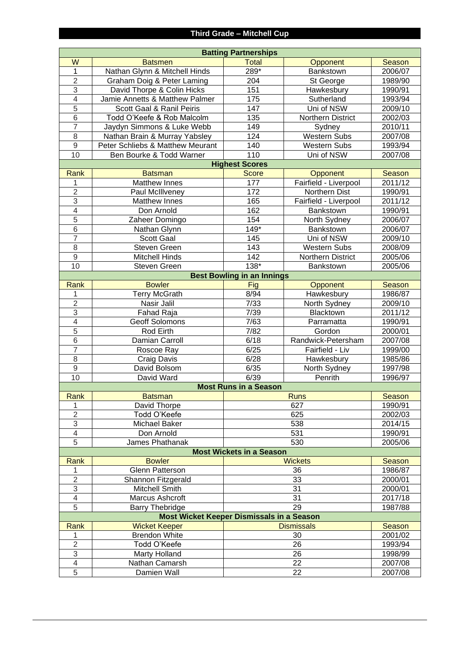|                | <b>Batting Partnerships</b>               |                                   |                       |         |  |  |
|----------------|-------------------------------------------|-----------------------------------|-----------------------|---------|--|--|
| W              | <b>Batsmen</b>                            | <b>Total</b>                      | Opponent              | Season  |  |  |
| 1              | Nathan Glynn & Mitchell Hinds             | 289*                              | Bankstown             | 2006/07 |  |  |
| $\overline{2}$ | Graham Doig & Peter Laming                | 204                               | St George             | 1989/90 |  |  |
| 3              | David Thorpe & Colin Hicks                | 151                               | Hawkesbury            | 1990/91 |  |  |
| $\overline{4}$ | Jamie Annetts & Matthew Palmer            | 175                               | Sutherland            | 1993/94 |  |  |
| 5              | Scott Gaal & Ranil Peiris                 | 147                               | Uni of NSW            | 2009/10 |  |  |
| 6              | Todd O'Keefe & Rob Malcolm                | 135                               | Northern District     | 2002/03 |  |  |
| $\overline{7}$ | Jaydyn Simmons & Luke Webb                | 149                               | Sydney                | 2010/11 |  |  |
| 8              | Nathan Brain & Murray Yabsley             | 124                               | <b>Western Subs</b>   | 2007/08 |  |  |
| 9              | Peter Schliebs & Matthew Meurant          | 140                               | <b>Western Subs</b>   | 1993/94 |  |  |
| 10             | Ben Bourke & Todd Warner                  | 110                               | Uni of NSW            | 2007/08 |  |  |
|                |                                           | <b>Highest Scores</b>             |                       |         |  |  |
| Rank           | <b>Batsman</b>                            | <b>Score</b>                      | Opponent              | Season  |  |  |
| 1              | Matthew Innes                             | 177                               | Fairfield - Liverpool | 2011/12 |  |  |
| $\overline{2}$ | Paul McIllveney                           | 172                               | Northern Dist         | 1990/91 |  |  |
| 3              | Matthew Innes                             | 165                               | Fairfield - Liverpool | 2011/12 |  |  |
| $\overline{4}$ | Don Arnold                                | 162                               | Bankstown             | 1990/91 |  |  |
| $\overline{5}$ | Zaheer Domingo                            | 154                               | North Sydney          | 2006/07 |  |  |
| $\,6$          | Nathan Glynn                              | $149*$                            | Bankstown             | 2006/07 |  |  |
| $\overline{7}$ | <b>Scott Gaal</b>                         | 145                               | Uni of NSW            | 2009/10 |  |  |
| 8              | Steven Green                              | 143                               | <b>Western Subs</b>   | 2008/09 |  |  |
| $9\,$          | <b>Mitchell Hinds</b>                     | 142                               | Northern District     | 2005/06 |  |  |
| 10             | Steven Green                              | 138*                              | Bankstown             | 2005/06 |  |  |
|                |                                           | <b>Best Bowling in an Innings</b> |                       |         |  |  |
| Rank           | <b>Bowler</b>                             | Fig                               | Opponent              | Season  |  |  |
| 1              | <b>Terry McGrath</b>                      | 8/94                              | Hawkesbury            | 1986/87 |  |  |
| $\overline{2}$ | Nasir Jalil                               | 7/33                              | North Sydney          | 2009/10 |  |  |
| 3              | Fahad Raja                                | 7/39                              | Blacktown             | 2011/12 |  |  |
| $\overline{4}$ | Geoff Solomons                            | 7/63                              | Parramatta            | 1990/91 |  |  |
| $\overline{5}$ | Rod Eirth                                 | 7/82                              | Gordon                | 2000/01 |  |  |
| $\,6$          | Damian Carroll                            | 6/18                              | Randwick-Petersham    | 2007/08 |  |  |
| $\overline{7}$ | Roscoe Ray                                | 6/25                              | Fairfield - Liv       | 1999/00 |  |  |
| 8              | Craig Davis                               | 6/28                              | Hawkesbury            | 1985/86 |  |  |
| 9              | David Bolsom                              | 6/35                              | North Sydney          | 1997/98 |  |  |
| 10             | David Ward                                | 6/39                              | Penrith               | 1996/97 |  |  |
|                |                                           | <b>Most Runs in a Season</b>      |                       |         |  |  |
| Rank           | <b>Batsman</b>                            |                                   | <b>Runs</b>           | Season  |  |  |
| 1              | David Thorpe                              |                                   | 627                   | 1990/91 |  |  |
| $\overline{2}$ | Todd O'Keefe                              |                                   | 625                   | 2002/03 |  |  |
| 3              | <b>Michael Baker</b>                      |                                   | 538                   | 2014/15 |  |  |
| $\overline{4}$ | Don Arnold                                |                                   | 531                   | 1990/91 |  |  |
| 5              | James Phathanak                           |                                   | 530                   | 2005/06 |  |  |
|                |                                           | <b>Most Wickets in a Season</b>   |                       |         |  |  |
| Rank           | <b>Bowler</b>                             |                                   | <b>Wickets</b>        | Season  |  |  |
| 1              | <b>Glenn Patterson</b>                    |                                   | 36                    | 1986/87 |  |  |
| $\overline{2}$ | Shannon Fitzgerald                        |                                   | 33                    | 2000/01 |  |  |
| 3              | Mitchell Smith                            |                                   | 31                    | 2000/01 |  |  |
| $\overline{4}$ | Marcus Ashcroft                           |                                   | 31                    | 2017/18 |  |  |
| 5              | <b>Barry Thebridge</b>                    |                                   | 29                    | 1987/88 |  |  |
|                | Most Wicket Keeper Dismissals in a Season |                                   |                       |         |  |  |
| <b>Rank</b>    | <b>Wicket Keeper</b>                      |                                   | <b>Dismissals</b>     | Season  |  |  |
| 1              | <b>Brendon White</b>                      |                                   | 30                    | 2001/02 |  |  |
| $\overline{2}$ | Todd O'Keefe                              |                                   | 26                    | 1993/94 |  |  |
| 3              | <b>Marty Holland</b>                      |                                   | 26                    | 1998/99 |  |  |
| $\overline{4}$ | Nathan Camarsh                            |                                   | 22                    | 2007/08 |  |  |
| 5              | Damien Wall                               |                                   | 22                    | 2007/08 |  |  |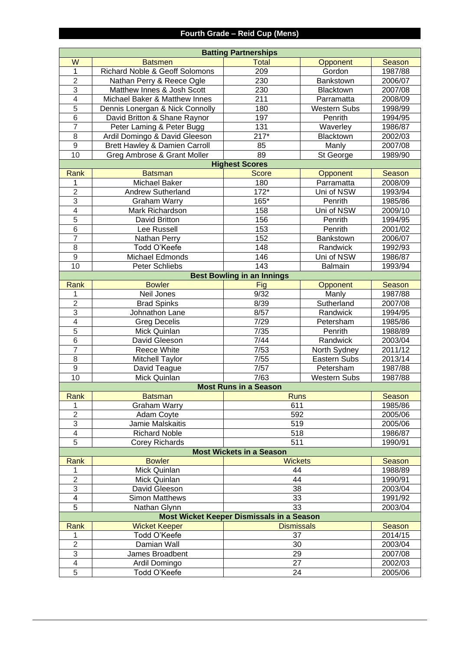## **Fourth Grade – Reid Cup (Mens)**

|                | <b>Batting Partnerships</b>               |                                                  |                     |         |  |  |
|----------------|-------------------------------------------|--------------------------------------------------|---------------------|---------|--|--|
| W              | <b>Batsmen</b>                            | <b>Total</b>                                     | Opponent            | Season  |  |  |
| 1              | <b>Richard Noble &amp; Geoff Solomons</b> | 209                                              | Gordon              | 1987/88 |  |  |
| $\overline{2}$ | Nathan Perry & Reece Ogle                 | 230                                              | Bankstown           | 2006/07 |  |  |
| 3              | Matthew Innes & Josh Scott                | 230                                              | Blacktown           | 2007/08 |  |  |
| $\overline{4}$ | Michael Baker & Matthew Innes             | 211                                              | Parramatta          | 2008/09 |  |  |
| $\overline{5}$ | Dennis Lonergan & Nick Connolly           | 180                                              | <b>Western Subs</b> | 1998/99 |  |  |
| 6              | David Britton & Shane Raynor              | 197                                              | Penrith             | 1994/95 |  |  |
| $\overline{7}$ | Peter Laming & Peter Bugg                 | 131                                              | Waverley            | 1986/87 |  |  |
| 8              | Ardil Domingo & David Gleeson             | $217*$                                           | Blacktown           | 2002/03 |  |  |
| 9              | Brett Hawley & Damien Carroll             | 85                                               | Manly               | 2007/08 |  |  |
| 10             | Greg Ambrose & Grant Moller               | 89                                               | St George           | 1989/90 |  |  |
|                |                                           | <b>Highest Scores</b>                            |                     |         |  |  |
| Rank           | <b>Batsman</b>                            | <b>Score</b>                                     | Opponent            | Season  |  |  |
| 1              | Michael Baker                             | 180                                              | Parramatta          | 2008/09 |  |  |
| $\overline{2}$ | <b>Andrew Sutherland</b>                  | $172*$                                           | Uni of NSW          | 1993/94 |  |  |
| 3              | <b>Graham Warry</b>                       | 165*                                             | Penrith             | 1985/86 |  |  |
| $\overline{4}$ | Mark Richardson                           | 158                                              | Uni of NSW          | 2009/10 |  |  |
| $\overline{5}$ | David Britton                             | 156                                              | Penrith             | 1994/95 |  |  |
| 6              | Lee Russell                               | 153                                              | Penrith             | 2001/02 |  |  |
| $\overline{7}$ | Nathan Perry                              | 152                                              | Bankstown           | 2006/07 |  |  |
| 8              | Todd O'Keefe                              | 148                                              | Randwick            | 1992/93 |  |  |
| 9              | Michael Edmonds                           | 146                                              | Uni of NSW          | 1986/87 |  |  |
| 10             | Peter Schliebs                            | 143                                              | <b>Balmain</b>      | 1993/94 |  |  |
|                |                                           | <b>Best Bowling in an Innings</b>                |                     |         |  |  |
| Rank           | <b>Bowler</b>                             | Fig                                              | Opponent            | Season  |  |  |
| 1              | Neil Jones                                | 9/32                                             | Manly               | 1987/88 |  |  |
| $\overline{2}$ | <b>Brad Spinks</b>                        | 8/39                                             | Sutherland          | 2007/08 |  |  |
| $\overline{3}$ | Johnathon Lane                            | 8/57                                             | Randwick            | 1994/95 |  |  |
| $\overline{4}$ | <b>Greg Decelis</b>                       | 7/29                                             | Petersham           | 1985/86 |  |  |
| $\overline{5}$ | Mick Quinlan                              | $7/35$                                           | Penrith             | 1988/89 |  |  |
| 6              | David Gleeson                             | 7/44                                             | Randwick            | 2003/04 |  |  |
| $\overline{7}$ | Reece White                               | 7/53                                             | North Sydney        | 2011/12 |  |  |
| 8              | <b>Mitchell Taylor</b>                    | 7/55                                             | Eastern Subs        | 2013/14 |  |  |
| 9              | David Teague                              | 7/57                                             | Petersham           | 1987/88 |  |  |
| 10             | Mick Quinlan                              | 7/63                                             | <b>Western Subs</b> | 1987/88 |  |  |
|                |                                           | <b>Most Runs in a Season</b>                     |                     |         |  |  |
| Rank           | <b>Batsman</b>                            | <b>Runs</b>                                      |                     | Season  |  |  |
| 1              | <b>Graham Warry</b>                       | 611                                              |                     | 1985/86 |  |  |
| $\overline{2}$ | Adam Coyte                                | 592                                              |                     | 2005/06 |  |  |
| 3              | Jamie Malskaitis                          | 519                                              |                     | 2005/06 |  |  |
| 4              | <b>Richard Noble</b>                      | 518                                              |                     | 1986/87 |  |  |
| 5              | <b>Corey Richards</b>                     | 511                                              |                     | 1990/91 |  |  |
|                |                                           | <b>Most Wickets in a Season</b>                  |                     |         |  |  |
| Rank           | <b>Bowler</b>                             | <b>Wickets</b>                                   |                     | Season  |  |  |
| 1              | Mick Quinlan                              | 44                                               |                     | 1988/89 |  |  |
| $\overline{2}$ | Mick Quinlan                              | 44                                               |                     | 1990/91 |  |  |
| 3              | David Gleeson                             | 38                                               |                     | 2003/04 |  |  |
| 4              | <b>Simon Matthews</b>                     | 33                                               |                     | 1991/92 |  |  |
| 5              | Nathan Glynn                              | 33                                               |                     | 2003/04 |  |  |
|                |                                           | <b>Most Wicket Keeper Dismissals in a Season</b> |                     |         |  |  |
| Rank           | <b>Wicket Keeper</b>                      | <b>Dismissals</b>                                |                     | Season  |  |  |
| 1              | Todd O'Keefe                              | 37                                               |                     | 2014/15 |  |  |
| $\overline{2}$ | Damian Wall                               | 30                                               |                     | 2003/04 |  |  |
| 3              | James Broadbent                           | 29                                               |                     | 2007/08 |  |  |
| 4              | Ardil Domingo                             | 27                                               |                     | 2002/03 |  |  |
| 5              | Todd O'Keefe                              | 24                                               |                     | 2005/06 |  |  |
|                |                                           |                                                  |                     |         |  |  |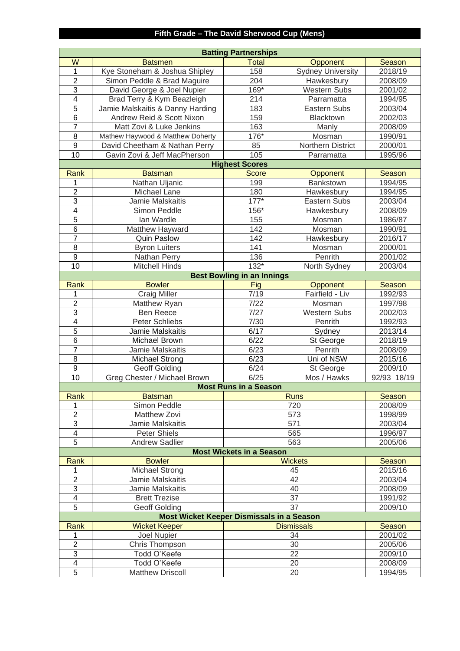## **Fifth Grade – The David Sherwood Cup (Mens)**

|                         |                                                  | <b>Batting Partnerships</b>       |                          |                    |
|-------------------------|--------------------------------------------------|-----------------------------------|--------------------------|--------------------|
| W                       | <b>Batsmen</b>                                   | <b>Total</b>                      | Opponent                 | Season             |
| 1                       | Kye Stoneham & Joshua Shipley                    | 158                               | <b>Sydney University</b> | 2018/19            |
| $\overline{2}$          | Simon Peddle & Brad Maguire                      | 204                               | Hawkesbury               | 2008/09            |
| 3                       | David George & Joel Nupier                       | 169*                              | <b>Western Subs</b>      | 2001/02            |
| 4                       | Brad Terry & Kym Beazleigh                       | 214                               | Parramatta               | 1994/95            |
| $\overline{5}$          | Jamie Malskaitis & Danny Harding                 | 183                               | Eastern Subs             | 2003/04            |
| 6                       | Andrew Reid & Scott Nixon                        | 159                               | Blacktown                | 2002/03            |
| $\overline{7}$          | Matt Zovi & Luke Jenkins                         | 163                               | Manly                    | 2008/09            |
| 8                       | Mathew Haywood & Matthew Doherty                 | 176*                              | Mosman                   | 1990/91            |
| 9                       | David Cheetham & Nathan Perry                    | 85                                | Northern District        | 2000/01            |
| 10                      | Gavin Zovi & Jeff MacPherson                     | 105                               | Parramatta               | 1995/96            |
|                         |                                                  | <b>Highest Scores</b>             |                          |                    |
| Rank                    | <b>Batsman</b>                                   | <b>Score</b>                      | <b>Opponent</b>          | Season             |
| 1                       | Nathan Uljanic                                   | 199                               | Bankstown                | 1994/95            |
| $\overline{2}$          | Michael Lane                                     | 180                               | Hawkesbury               | 1994/95            |
| 3                       | Jamie Malskaitis                                 | $177*$                            | Eastern Subs             | 2003/04            |
| $\overline{\mathbf{4}}$ | Simon Peddle                                     | 156*                              | Hawkesbury               | 2008/09            |
| $\overline{5}$          | lan Wardle                                       | 155                               | Mosman                   | 1986/87            |
| 6                       | Matthew Hayward                                  | 142                               | Mosman                   | 1990/91            |
| $\overline{7}$          | <b>Quin Paslow</b>                               | 142                               | Hawkesbury               | 2016/17            |
| 8                       |                                                  | 141                               | Mosman                   | 2000/01            |
| 9                       | <b>Byron Luiters</b>                             | 136                               | Penrith                  |                    |
| 10                      | Nathan Perry<br><b>Mitchell Hinds</b>            | $132*$                            |                          | 2001/02<br>2003/04 |
|                         |                                                  | <b>Best Bowling in an Innings</b> | North Sydney             |                    |
|                         |                                                  |                                   |                          |                    |
| Rank                    | <b>Bowler</b>                                    | Fig                               | Opponent                 | Season             |
| 1<br>$\overline{2}$     | <b>Craig Miller</b>                              | 7/19                              | Fairfield - Liv          | 1992/93            |
|                         | Matthew Ryan                                     | 7/22                              | Mosman                   | 1997/98            |
| 3                       | Ben Reece                                        | 7/27                              | <b>Western Subs</b>      | 2002/03            |
| $\overline{\mathbf{4}}$ | Peter Schliebs                                   | 7/30                              | Penrith                  | 1992/93            |
| $\overline{5}$          | Jamie Malskaitis                                 | 6/17                              | Sydney                   | 2013/14            |
| 6                       | Michael Brown                                    | 6/22                              | St George                | 2018/19            |
| $\overline{7}$          | Jamie Malskaitis                                 | 6/23                              | Penrith                  | 2008/09            |
| 8                       | <b>Michael Strong</b>                            | 6/23                              | Uni of NSW               | 2015/16            |
| $\boldsymbol{9}$        | <b>Geoff Golding</b>                             | 6/24                              | St George                | 2009/10            |
| 10                      | Greg Chester / Michael Brown                     | 6/25                              | Mos / Hawks              | 92/93 18/19        |
|                         |                                                  | <b>Most Runs in a Season</b>      |                          |                    |
| Rank                    | <b>Batsman</b>                                   |                                   | <b>Runs</b>              | Season             |
| 1                       | Simon Peddle                                     |                                   | 720                      | 2008/09            |
| $\overline{2}$          | Matthew Zovi                                     |                                   | 573                      | 1998/99            |
| 3                       | Jamie Malskaitis                                 |                                   | 571                      | 2003/04            |
| 4                       | Peter Shiels                                     |                                   | 565                      | 1996/97            |
| 5                       | <b>Andrew Sadlier</b>                            |                                   | 563                      | 2005/06            |
|                         |                                                  | <b>Most Wickets in a Season</b>   |                          |                    |
| Rank                    | <b>Bowler</b>                                    |                                   | <b>Wickets</b>           | Season             |
| 1                       | <b>Michael Strong</b>                            |                                   | 45                       | 2015/16            |
| $\overline{2}$          | Jamie Malskaitis                                 |                                   | 42                       | 2003/04            |
| 3                       | Jamie Malskaitis                                 |                                   | 40                       | 2008/09            |
| 4                       | <b>Brett Trezise</b>                             |                                   | 37                       | 1991/92            |
| 5                       | Geoff Golding                                    |                                   | 37                       | 2009/10            |
|                         | <b>Most Wicket Keeper Dismissals in a Season</b> |                                   |                          |                    |
| Rank                    | <b>Wicket Keeper</b>                             |                                   | <b>Dismissals</b>        | <b>Season</b>      |
| 1                       | Joel Nupier                                      |                                   | 34                       | 2001/02            |
| $\overline{2}$          | Chris Thompson                                   |                                   | 30                       | 2005/06            |
| 3                       | Todd O'Keefe                                     |                                   | 22                       | 2009/10            |
| 4                       | Todd O'Keefe                                     |                                   | 20                       | 2008/09            |
| 5                       | <b>Matthew Driscoll</b>                          |                                   | 20                       | 1994/95            |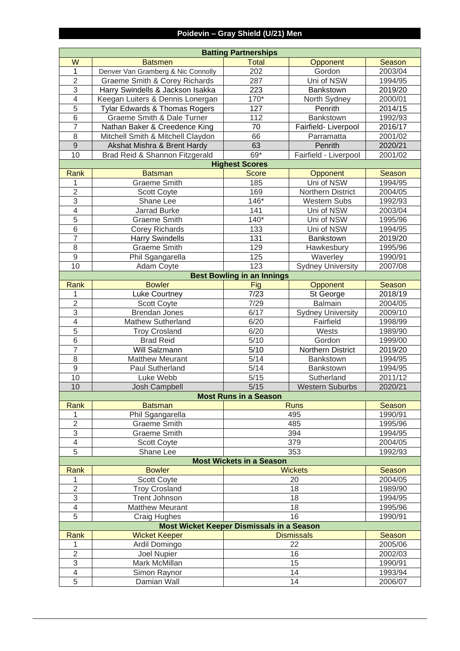## **Poidevin – Gray Shield (U/21) Men**

|                          | <b>Batting Partnerships</b>               |                                   |                          |               |  |  |
|--------------------------|-------------------------------------------|-----------------------------------|--------------------------|---------------|--|--|
| W                        | <b>Batsmen</b>                            | <b>Total</b>                      | Opponent                 | <b>Season</b> |  |  |
| 1                        | Denver Van Gramberg & Nic Connolly        | 202                               | Gordon                   | 2003/04       |  |  |
| $\overline{2}$           | <b>Graeme Smith &amp; Corey Richards</b>  | 287                               | Uni of NSW               | 1994/95       |  |  |
| $\overline{3}$           | Harry Swindells & Jackson Isakka          | 223                               | Bankstown                | 2019/20       |  |  |
| $\overline{4}$           | Keegan Luiters & Dennis Lonergan          | $170*$                            | North Sydney             | 2000/01       |  |  |
| $\overline{5}$           | <b>Tylar Edwards &amp; Thomas Rogers</b>  | 127                               | Penrith                  | 2014/15       |  |  |
| 6                        | Graeme Smith & Dale Turner                | 112                               | Bankstown                | 1992/93       |  |  |
| $\overline{7}$           | Nathan Baker & Creedence King             | 70                                | Fairfield-Liverpool      | 2016/17       |  |  |
| 8                        | Mitchell Smith & Mitchell Claydon         | 66                                | Parramatta               | 2001/02       |  |  |
| $\overline{9}$           | Akshat Mishra & Brent Hardy               | 63                                | Penrith                  | 2020/21       |  |  |
| 10                       | Brad Reid & Shannon Fitzgerald            | $69*$                             | Fairfield - Liverpool    | 2001/02       |  |  |
|                          |                                           | <b>Highest Scores</b>             |                          |               |  |  |
| <b>Rank</b>              | <b>Batsman</b>                            | <b>Score</b>                      | Opponent                 | Season        |  |  |
| 1                        | <b>Graeme Smith</b>                       | 185                               | Uni of NSW               | 1994/95       |  |  |
| $\overline{2}$           | <b>Scott Coyte</b>                        | 169                               | Northern District        | 2004/05       |  |  |
| $\overline{3}$           | Shane Lee                                 | $146*$                            | <b>Western Subs</b>      | 1992/93       |  |  |
| $\overline{\mathcal{A}}$ | Jarrad Burke                              | 141                               | Uni of NSW               | 2003/04       |  |  |
| $\overline{5}$           | <b>Graeme Smith</b>                       | $140*$                            | Uni of NSW               | 1995/96       |  |  |
| 6                        | <b>Corey Richards</b>                     | 133                               | Uni of NSW               | 1994/95       |  |  |
| $\overline{7}$           | <b>Harry Swindells</b>                    | 131                               | Bankstown                | 2019/20       |  |  |
| 8                        | <b>Graeme Smith</b>                       | 129                               | Hawkesbury               | 1995/96       |  |  |
| $\mathsf g$              | Phil Sgangarella                          | 125                               | Waverley                 | 1990/91       |  |  |
| 10                       | Adam Coyte                                | 123                               | <b>Sydney University</b> | 2007/08       |  |  |
|                          |                                           | <b>Best Bowling in an Innings</b> |                          |               |  |  |
| Rank                     | <b>Bowler</b>                             | Fig                               | Opponent                 | Season        |  |  |
| 1                        | Luke Courtney                             | 7/23                              | St George                | 2018/19       |  |  |
| $\overline{2}$           | <b>Scott Coyte</b>                        | 7/29                              | Balmain                  | 2004/05       |  |  |
| $\overline{3}$           | <b>Brendan Jones</b>                      | 6/17                              | <b>Sydney University</b> | 2009/10       |  |  |
| $\overline{4}$           | <b>Mathew Sutherland</b>                  | 6/20                              | Fairfield                | 1998/99       |  |  |
| $\overline{5}$           | <b>Troy Crosland</b>                      | 6/20                              | Wests                    | 1989/90       |  |  |
| 6                        | <b>Brad Reid</b>                          | 5/10                              | Gordon                   | 1999/00       |  |  |
| $\overline{7}$           | Will Salzmann                             | 5/10                              | Northern District        | 2019/20       |  |  |
| 8                        | <b>Matthew Meurant</b>                    | 5/14                              | Bankstown                | 1994/95       |  |  |
| $\mathsf g$              | Paul Sutherland                           | 5/14                              | Bankstown                | 1994/95       |  |  |
| 10                       | Luke Webb                                 | $5/15$                            | Sutherland               | 2011/12       |  |  |
| 10                       | Josh Campbell                             | 5/15                              | <b>Western Suburbs</b>   | 2020/21       |  |  |
|                          |                                           | <b>Most Runs in a Season</b>      |                          |               |  |  |
| Rank                     | <b>Batsman</b>                            |                                   | <b>Runs</b>              | Season        |  |  |
| 1                        | Phil Sgangarella                          |                                   | 495                      | 1990/91       |  |  |
| $\overline{2}$           | <b>Graeme Smith</b>                       |                                   | 485                      | 1995/96       |  |  |
| $\overline{3}$           | <b>Graeme Smith</b>                       |                                   | 394                      | 1994/95       |  |  |
| $\overline{4}$           | <b>Scott Coyte</b>                        |                                   | 379                      | 2004/05       |  |  |
| 5                        | Shane Lee                                 |                                   | 353                      | 1992/93       |  |  |
|                          |                                           | <b>Most Wickets in a Season</b>   |                          |               |  |  |
| Rank                     | <b>Bowler</b>                             |                                   | <b>Wickets</b>           | Season        |  |  |
| 1                        | <b>Scott Coyte</b>                        |                                   | 20                       | 2004/05       |  |  |
| $\overline{2}$           | <b>Troy Crosland</b>                      |                                   | 18                       | 1989/90       |  |  |
| $\overline{3}$           | <b>Trent Johnson</b>                      |                                   | 18                       | 1994/95       |  |  |
| $\overline{4}$           | <b>Matthew Meurant</b>                    |                                   | 18                       | 1995/96       |  |  |
| 5                        | <b>Craig Hughes</b>                       |                                   | 16                       | 1990/91       |  |  |
|                          | Most Wicket Keeper Dismissals in a Season |                                   |                          |               |  |  |
|                          | <b>Wicket Keeper</b>                      |                                   |                          |               |  |  |
| Rank                     |                                           |                                   | <b>Dismissals</b>        | Season        |  |  |
| 1<br>$\overline{2}$      | Ardil Domingo                             |                                   | 22<br>16                 | 2005/06       |  |  |
|                          | Joel Nupier                               |                                   |                          | 2002/03       |  |  |
| $\overline{3}$           | Mark McMillan                             |                                   | 15                       | 1990/91       |  |  |
| $\overline{4}$           | Simon Raynor                              |                                   | 14<br>14                 | 1993/94       |  |  |
| $\overline{5}$           | Damian Wall                               |                                   | 2006/07                  |               |  |  |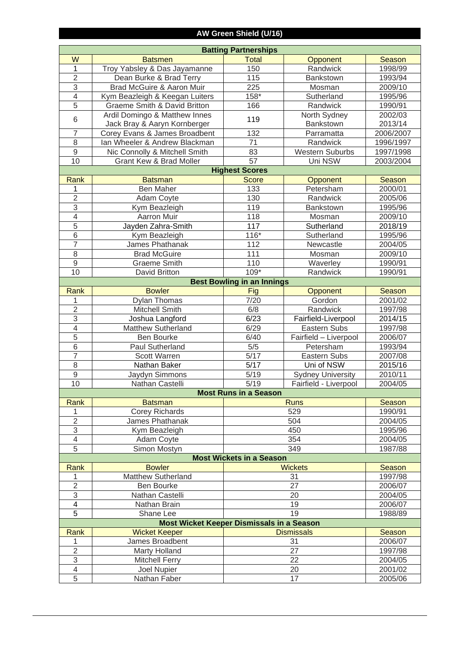## **AW Green Shield (U/16)**

|                         | <b>Batting Partnerships</b>                      |                                   |                          |           |  |  |
|-------------------------|--------------------------------------------------|-----------------------------------|--------------------------|-----------|--|--|
| W                       | <b>Batsmen</b>                                   | <b>Total</b>                      | Opponent                 | Season    |  |  |
| 1                       | Troy Yabsley & Das Jayamanne                     | 150                               | Randwick                 | 1998/99   |  |  |
| $\overline{2}$          | Dean Burke & Brad Terry                          | 115                               | Bankstown                | 1993/94   |  |  |
| $\overline{3}$          | Brad McGuire & Aaron Muir                        | 225                               | Mosman                   | 2009/10   |  |  |
| $\overline{4}$          | Kym Beazleigh & Keegan Luiters                   | 158*                              | Sutherland               | 1995/96   |  |  |
| $\overline{5}$          | Graeme Smith & David Britton                     | 166                               | Randwick                 | 1990/91   |  |  |
|                         | Ardil Domingo & Matthew Innes                    |                                   | North Sydney             | 2002/03   |  |  |
| $6\phantom{1}$          | Jack Bray & Aaryn Kornberger                     | 119                               | Bankstown                | 2013/14   |  |  |
| $\overline{7}$          | Corey Evans & James Broadbent                    | 132                               | Parramatta               | 2006/2007 |  |  |
| 8                       | Ian Wheeler & Andrew Blackman                    | 71                                | Randwick                 | 1996/1997 |  |  |
| $\overline{9}$          | Nic Connolly & Mitchell Smith                    | 83                                | <b>Western Suburbs</b>   | 1997/1998 |  |  |
| 10                      | Grant Kew & Brad Moller                          | 57                                | Uni NSW                  | 2003/2004 |  |  |
|                         |                                                  | <b>Highest Scores</b>             |                          |           |  |  |
| <b>Rank</b>             | <b>Batsman</b>                                   | <b>Score</b>                      | Opponent                 | Season    |  |  |
| 1                       | <b>Ben Maher</b>                                 | 133                               | Petersham                | 2000/01   |  |  |
| $\overline{2}$          | Adam Coyte                                       | 130                               | Randwick                 | 2005/06   |  |  |
| $\overline{3}$          | Kym Beazleigh                                    | 119                               | <b>Bankstown</b>         | 1995/96   |  |  |
| $\overline{4}$          | <b>Aarron Muir</b>                               | 118                               | Mosman                   | 2009/10   |  |  |
| $\overline{5}$          | Jayden Zahra-Smith                               | 117                               | Sutherland               | 2018/19   |  |  |
| $\overline{6}$          | Kym Beazleigh                                    | $116*$                            | Sutherland               | 1995/96   |  |  |
| $\overline{7}$          | James Phathanak                                  | 112                               | Newcastle                | 2004/05   |  |  |
| 8                       | <b>Brad McGuire</b>                              | 111                               | Mosman                   | 2009/10   |  |  |
| $\overline{9}$          | Graeme Smith                                     | 110                               | Waverley                 | 1990/91   |  |  |
| 10                      | <b>David Britton</b>                             | 109*                              | Randwick                 | 1990/91   |  |  |
|                         |                                                  | <b>Best Bowling in an Innings</b> |                          |           |  |  |
| <b>Rank</b>             | <b>Bowler</b>                                    | Fig                               | Opponent                 | Season    |  |  |
| 1                       | <b>Dylan Thomas</b>                              | 7/20                              | Gordon                   | 2001/02   |  |  |
| $\overline{2}$          | Mitchell Smith                                   | 6/8                               | Randwick                 | 1997/98   |  |  |
| $\overline{3}$          | Joshua Langford                                  | 6/23                              | Fairfield-Liverpool      | 2014/15   |  |  |
| $\overline{4}$          | <b>Matthew Sutherland</b>                        | 6/29                              | Eastern Subs             | 1997/98   |  |  |
| $\overline{5}$          | <b>Ben Bourke</b>                                | 6/40                              | Fairfield - Liverpool    | 2006/07   |  |  |
| $\overline{6}$          | Paul Sutherland                                  | 5/5                               | Petersham                | 1993/94   |  |  |
| $\overline{7}$          | <b>Scott Warren</b>                              | 5/17                              | Eastern Subs             | 2007/08   |  |  |
| $\overline{8}$          | Nathan Baker                                     | 5/17                              | Uni of NSW               | 2015/16   |  |  |
| $\overline{9}$          | Jaydyn Simmons                                   | 5/19                              | <b>Sydney University</b> | 2010/11   |  |  |
| 10                      | Nathan Castelli                                  | 5/19                              | Fairfield - Liverpool    | 2004/05   |  |  |
|                         |                                                  | <b>Most Runs in a Season</b>      |                          |           |  |  |
| Rank                    | <b>Batsman</b>                                   |                                   | <b>Runs</b>              | Season    |  |  |
| 1                       | <b>Corey Richards</b>                            |                                   | 529                      | 1990/91   |  |  |
| $\mathbf{2}$            | James Phathanak                                  |                                   | 504                      | 2004/05   |  |  |
| 3                       | Kym Beazleigh                                    |                                   | 450                      | 1995/96   |  |  |
| 4<br>5                  | <b>Adam Coyte</b>                                |                                   | 354                      | 2004/05   |  |  |
|                         | Simon Mostyn                                     | <b>Most Wickets in a Season</b>   | 349                      | 1987/88   |  |  |
| Rank                    | <b>Bowler</b>                                    |                                   | <b>Wickets</b>           | Season    |  |  |
| 1                       | <b>Matthew Sutherland</b>                        |                                   | 31                       | 1997/98   |  |  |
| $\overline{\mathbf{c}}$ | <b>Ben Bourke</b>                                |                                   | 27                       | 2006/07   |  |  |
| $\sqrt{3}$              | Nathan Castelli                                  |                                   |                          | 2004/05   |  |  |
| 4                       | Nathan Brain                                     | 20<br>19                          |                          | 2006/07   |  |  |
| $\overline{5}$          | Shane Lee                                        |                                   | 19                       | 1988/89   |  |  |
|                         | <b>Most Wicket Keeper Dismissals in a Season</b> |                                   |                          |           |  |  |
| Rank                    | <b>Wicket Keeper</b>                             |                                   | <b>Dismissals</b>        | Season    |  |  |
| 1                       | James Broadbent                                  |                                   | 31                       | 2006/07   |  |  |
| $\mathbf 2$             | <b>Marty Holland</b>                             |                                   | 27                       | 1997/98   |  |  |
| 3                       | <b>Mitchell Ferry</b>                            |                                   | 22                       | 2004/05   |  |  |
| 4                       | Joel Nupier                                      |                                   | 20                       | 2001/02   |  |  |
| 5                       | Nathan Faber                                     |                                   | 17                       | 2005/06   |  |  |
|                         |                                                  |                                   |                          |           |  |  |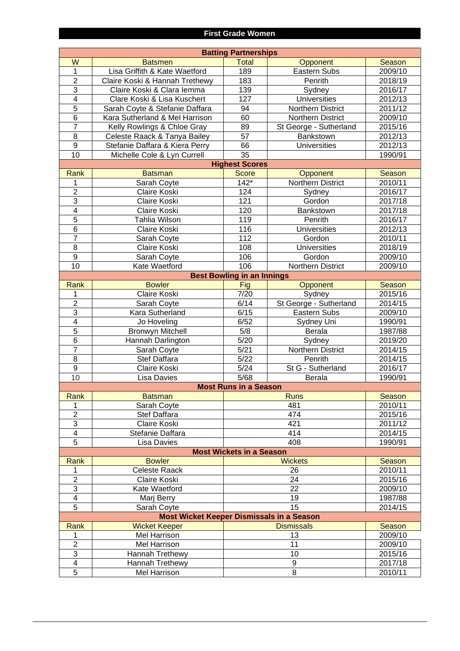#### **First Grade Women**

|                  | <b>Batting Partnerships</b>                      |                                   |                        |         |  |  |
|------------------|--------------------------------------------------|-----------------------------------|------------------------|---------|--|--|
| W                | <b>Batsmen</b>                                   | <b>Total</b>                      | Opponent               | Season  |  |  |
| $\mathbf{1}$     | Lisa Griffith & Kate Waetford                    | 189                               | <b>Eastern Subs</b>    | 2009/10 |  |  |
| $\overline{2}$   | Claire Koski & Hannah Trethewy                   | 183                               | Penrith                | 2018/19 |  |  |
| 3                | Claire Koski & Clara lemma                       | 139                               | Sydney                 | 2016/17 |  |  |
| 4                | Clare Koski & Lisa Kuschert                      | 127                               | <b>Universities</b>    | 2012/13 |  |  |
| $\overline{5}$   | Sarah Coyte & Stefanie Daffara                   | 94                                | Northern District      | 2011/12 |  |  |
| 6                | Kara Sutherland & Mel Harrison                   | 60                                | Northern District      | 2009/10 |  |  |
| $\overline{7}$   | Kelly Rowlings & Chloe Gray                      | 89                                | St George - Sutherland | 2015/16 |  |  |
| 8                | Celeste Raack & Tanya Bailey                     | 57                                | Bankstown              | 2012/13 |  |  |
| 9                | Stefanie Daffara & Kiera Perry                   | 66                                | <b>Universities</b>    | 2012/13 |  |  |
| 10               | Michelle Cole & Lyn Currell                      | 35                                |                        | 1990/91 |  |  |
|                  |                                                  | <b>Highest Scores</b>             |                        |         |  |  |
| Rank             | <b>Batsman</b>                                   | <b>Score</b>                      | Opponent               | Season  |  |  |
| 1                | Sarah Coyte                                      | $142*$                            | Northern District      | 2010/11 |  |  |
| $\overline{2}$   | Claire Koski                                     | 124                               | Sydney                 | 2016/17 |  |  |
| 3                | Claire Koski                                     | 121                               | Gordon                 | 2017/18 |  |  |
| 4                | Claire Koski                                     | 120                               | Bankstown              | 2017/18 |  |  |
| 5                | Tahlia Wilson                                    | 119                               | Penrith                | 2016/17 |  |  |
| 6                | Claire Koski                                     | 116                               | <b>Universities</b>    | 2012/13 |  |  |
| $\overline{7}$   | Sarah Coyte                                      | 112                               | Gordon                 | 2010/11 |  |  |
| 8                | Claire Koski                                     | 108                               | <b>Universities</b>    | 2018/19 |  |  |
| 9                | Sarah Coyte                                      | 106                               | Gordon                 | 2009/10 |  |  |
| 10               | Kate Waetford                                    | 106                               | Northern District      | 2009/10 |  |  |
|                  |                                                  | <b>Best Bowling in an Innings</b> |                        |         |  |  |
| Rank             | <b>Bowler</b>                                    | Fig                               | Opponent               | Season  |  |  |
| 1                | Claire Koski                                     | 7/20                              | Sydney                 | 2015/16 |  |  |
| $\overline{2}$   | Sarah Coyte                                      | 6/14                              | St George - Sutherland | 2014/15 |  |  |
| 3                | Kara Sutherland                                  | 6/15                              | Eastern Subs           | 2009/10 |  |  |
| 4                | Jo Hoveling                                      | 6/52                              | Sydney Uni             | 1990/91 |  |  |
| $\overline{5}$   | <b>Bronwyn Mitchell</b>                          | 5/8                               | Berala                 | 1987/88 |  |  |
| 6                | Hannah Darlington                                | 5/20                              | Sydney                 | 2019/20 |  |  |
| $\overline{7}$   | Sarah Coyte                                      | 5/21                              | Northern District      | 2014/15 |  |  |
| 8                | Stef Daffara                                     | 5/22                              | Penrith                | 2014/15 |  |  |
| $\boldsymbol{9}$ | Claire Koski                                     | 5/24                              | St G - Sutherland      | 2016/17 |  |  |
| 10               | Lisa Davies                                      | 5/68                              | Berala                 | 1990/91 |  |  |
|                  |                                                  | <b>Most Runs in a Season</b>      |                        |         |  |  |
| Rank             | <b>Batsman</b>                                   |                                   | <b>Runs</b>            | Season  |  |  |
| 1                | Sarah Coyte                                      |                                   | 481                    | 2010/11 |  |  |
| $\overline{2}$   | Stef Daffara                                     |                                   | 474                    | 2015/16 |  |  |
| 3                | Claire Koski                                     |                                   | 421                    | 2011/12 |  |  |
| 4                | Stefanie Daffara                                 |                                   | 414                    | 2014/15 |  |  |
| 5                | Lisa Davies                                      |                                   | 408                    | 1990/91 |  |  |
|                  |                                                  | <b>Most Wickets in a Season</b>   |                        |         |  |  |
| Rank             | <b>Bowler</b>                                    |                                   | <b>Wickets</b>         | Season  |  |  |
| 1                | <b>Celeste Raack</b>                             |                                   | 26                     | 2010/11 |  |  |
| $\overline{2}$   | Claire Koski                                     |                                   | 24                     | 2015/16 |  |  |
| 3                | Kate Waetford                                    |                                   | 22                     | 2009/10 |  |  |
| 4                | Marj Berry                                       |                                   | 19                     | 1987/88 |  |  |
| 5                | Sarah Coyte                                      |                                   | 15                     | 2014/15 |  |  |
|                  | <b>Most Wicket Keeper Dismissals in a Season</b> |                                   |                        |         |  |  |
| Rank             | <b>Wicket Keeper</b>                             |                                   | <b>Dismissals</b>      | Season  |  |  |
| 1                | Mel Harrison                                     |                                   | 13                     | 2009/10 |  |  |
| $\overline{2}$   | Mel Harrison                                     |                                   | 11                     | 2009/10 |  |  |
| 3                | Hannah Trethewy                                  |                                   | 10                     | 2015/16 |  |  |
| 4                | Hannah Trethewy                                  |                                   | 9<br>8                 | 2017/18 |  |  |
| 5                | <b>Mel Harrison</b>                              |                                   | 2010/11                |         |  |  |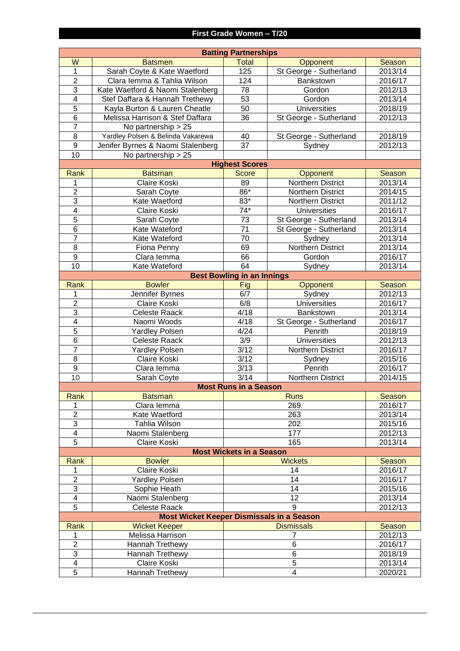|                          |                                           | <b>Batting Partnerships</b>       |                        |               |
|--------------------------|-------------------------------------------|-----------------------------------|------------------------|---------------|
| W                        | <b>Batsmen</b>                            | <b>Total</b>                      | Opponent               | <b>Season</b> |
| $\mathbf 1$              | Sarah Coyte & Kate Waetford               | 125                               | St George - Sutherland | 2013/14       |
| $\overline{2}$           | Clara Iemma & Tahlia Wilson               | 124                               | Bankstown              | 2016/17       |
| $\overline{3}$           | Kate Waetford & Naomi Stalenberg          | 78                                | Gordon                 | 2012/13       |
| $\overline{\mathbf{4}}$  | Stef Daffara & Hannah Trethewy            | 53                                | Gordon                 | 2013/14       |
| $\overline{5}$           | Kayla Burton & Lauren Cheatle             | 50                                | <b>Universities</b>    | 2018/19       |
| 6                        | Melissa Harrison & Stef Daffara           | 36                                | St George - Sutherland | 2012/13       |
| $\overline{7}$           | No partnership > 25                       |                                   |                        |               |
| 8                        | Yardley Polsen & Belinda Vakarewa         | 40                                | St George - Sutherland | 2018/19       |
| $\overline{9}$           | Jenifer Byrnes & Naomi Stalenberg         | $\overline{37}$                   | Sydney                 | 2012/13       |
| 10                       | No partnership > 25                       |                                   |                        |               |
|                          |                                           | <b>Highest Scores</b>             |                        |               |
| <b>Rank</b>              | <b>Batsman</b>                            | <b>Score</b>                      | Opponent               | Season        |
| 1                        | Claire Koski                              | 89                                | Northern District      | 2013/14       |
| $\overline{2}$           | Sarah Coyte                               | $86*$                             | Northern District      | 2014/15       |
| $\overline{3}$           | Kate Waetford                             | $83*$                             | Northern District      | 2011/12       |
| $\overline{\mathcal{A}}$ | Claire Koski                              | $74*$                             | <b>Universities</b>    | 2016/17       |
| $\overline{5}$           | Sarah Coyte                               | 73                                | St George - Sutherland | 2013/14       |
| 6                        | Kate Wateford                             | $\overline{71}$                   | St George - Sutherland | 2013/14       |
| $\overline{7}$           | Kate Wateford                             | 70                                | Sydney                 | 2013/14       |
| $\overline{8}$           | Fiona Penny                               | 69                                | Northern District      | 2013/14       |
| 9                        | Clara lemma                               | 66                                | Gordon                 | 2016/17       |
| 10                       | Kate Wateford                             | 64                                | Sydney                 | 2013/14       |
|                          |                                           | <b>Best Bowling in an Innings</b> |                        |               |
| Rank                     | <b>Bowler</b>                             | Fig                               | Opponent               | Season        |
| 1                        | Jennifer Byrnes                           | 6/7                               | Sydney                 | 2012/13       |
| $\overline{2}$           | Claire Koski                              | 6/8                               | <b>Universities</b>    | 2016/17       |
| $\overline{3}$           | <b>Celeste Raack</b>                      | 4/18                              | Bankstown              | 2013/14       |
| $\overline{\mathcal{A}}$ | Naomi Woods                               | 4/18                              | St George - Sutherland | 2016/17       |
| $\overline{5}$           | <b>Yardley Polsen</b>                     | 4/24                              | Penrith                | 2018/19       |
| 6                        | <b>Celeste Raack</b>                      | 3/9                               | <b>Universities</b>    | 2012/13       |
| $\overline{7}$           | <b>Yardley Polsen</b>                     | $\frac{1}{3/12}$                  | Northern District      | 2016/17       |
| 8                        | Claire Koski                              | 3/12                              | Sydney                 | 2015/16       |
| $\mathsf g$              | Clara lemma                               | 3/13                              | Penrith                | 2016/17       |
| 10                       | Sarah Coyte                               | 3/14                              | Northern District      | 2014/15       |
|                          |                                           | <b>Most Runs in a Season</b>      |                        |               |
| Rank                     | <b>Batsman</b>                            |                                   | <b>Runs</b>            | Season        |
| 1                        | Clara lemma                               |                                   | 269                    | 2016/17       |
| $\overline{2}$           | Kate Waetford                             |                                   | 263                    | 2013/14       |
| 3                        | Tahlia Wilson                             |                                   | 202                    | 2015/16       |
| 4                        | Naomi Stalenberg                          |                                   | 177                    | 2012/13       |
| $\overline{5}$           | Claire Koski                              |                                   | 165                    | 2013/14       |
|                          |                                           | <b>Most Wickets in a Season</b>   |                        |               |
| Rank                     | <b>Bowler</b>                             |                                   | <b>Wickets</b>         | Season        |
| 1                        | Claire Koski                              |                                   | 14                     | 2016/17       |
| $\overline{2}$           | <b>Yardley Polsen</b>                     |                                   | 14                     | 2016/17       |
| 3                        | Sophie Heath                              |                                   | 14                     | 2015/16       |
| 4                        | Naomi Stalenberg                          |                                   | 12                     | 2013/14       |
| $\overline{5}$           | <b>Celeste Raack</b>                      |                                   | 9                      | 2012/13       |
|                          | Most Wicket Keeper Dismissals in a Season |                                   |                        |               |
| Rank                     | <b>Wicket Keeper</b>                      |                                   | <b>Dismissals</b>      | Season        |
| 1                        | Melissa Harrison                          |                                   | $\overline{7}$         | 2012/13       |
| $\overline{2}$           | Hannah Trethewy                           |                                   | 6                      | 2016/17       |
| $\overline{3}$           | Hannah Trethewy                           |                                   | 6                      | 2018/19       |
| 4                        | Claire Koski                              |                                   | $\overline{5}$<br>4    | 2013/14       |
| $\overline{5}$           | <b>Hannah Trethewy</b>                    |                                   | 2020/21                |               |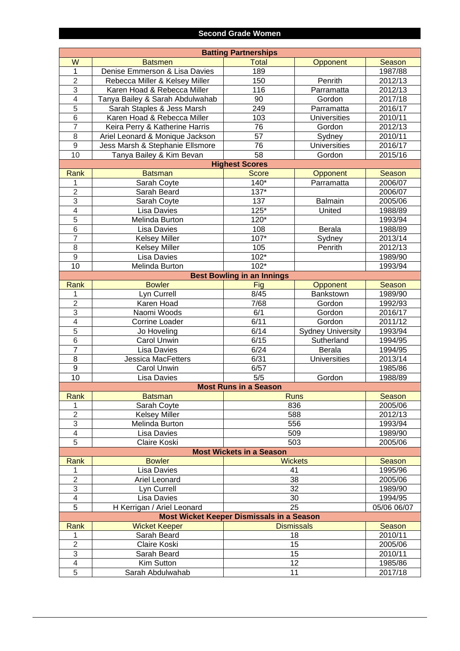#### **Second Grade Women**

| <b>Batting Partnerships</b>                      |                                   |                                   |                          |                    |  |
|--------------------------------------------------|-----------------------------------|-----------------------------------|--------------------------|--------------------|--|
| W                                                | <b>Batsmen</b>                    | <b>Total</b>                      | Opponent                 | <b>Season</b>      |  |
| $\overline{1}$                                   | Denise Emmerson & Lisa Davies     | 189                               |                          | 1987/88            |  |
| $\overline{2}$                                   | Rebecca Miller & Kelsey Miller    | 150                               | Penrith                  | 2012/13            |  |
| $\overline{3}$                                   | Karen Hoad & Rebecca Miller       | 116                               | Parramatta               | 2012/13            |  |
| $\overline{4}$                                   | Tanya Bailey & Sarah Abdulwahab   | 90                                | Gordon                   | 2017/18            |  |
| $\overline{5}$                                   | Sarah Staples & Jess Marsh        | 249                               | Parramatta               | 2016/17            |  |
| $\overline{6}$                                   | Karen Hoad & Rebecca Miller       | 103                               | <b>Universities</b>      | 2010/11            |  |
| $\overline{7}$                                   | Keira Perry & Katherine Harris    | 76                                | Gordon                   | 2012/13            |  |
| $\overline{8}$                                   | Ariel Leonard & Monique Jackson   | $\overline{57}$                   | Sydney                   | 2010/11            |  |
| $\overline{9}$                                   | Jess Marsh & Stephanie Ellsmore   | $\overline{76}$                   | <b>Universities</b>      | 2016/17            |  |
| 10                                               | Tanya Bailey & Kim Bevan          | 58                                | Gordon                   | 2015/16            |  |
|                                                  |                                   | <b>Highest Scores</b>             |                          |                    |  |
| Rank                                             | <b>Batsman</b>                    | <b>Score</b>                      | <b>Opponent</b>          | Season             |  |
| 1                                                | Sarah Coyte                       | $140*$                            | Parramatta               | 2006/07            |  |
| $\overline{2}$                                   | Sarah Beard                       | $137*$                            |                          | 2006/07            |  |
| $\overline{3}$                                   | Sarah Coyte                       | 137                               | <b>Balmain</b>           | 2005/06            |  |
| $\overline{4}$                                   | Lisa Davies                       | $125*$                            | United                   | 1988/89            |  |
| $\overline{5}$                                   | Melinda Burton                    | $120*$                            |                          | 1993/94            |  |
| $\overline{6}$                                   | Lisa Davies                       | 108                               | Berala                   | 1988/89            |  |
| $\overline{7}$                                   | <b>Kelsey Miller</b>              | $107*$                            | Sydney                   | 2013/14            |  |
| $\overline{8}$                                   | <b>Kelsey Miller</b>              | 105                               | Penrith                  | 2012/13            |  |
| $\overline{9}$                                   | <b>Lisa Davies</b>                | $102*$                            |                          | 1989/90            |  |
| 10                                               | Melinda Burton                    | $102*$                            |                          | 1993/94            |  |
|                                                  |                                   | <b>Best Bowling in an Innings</b> |                          |                    |  |
| Rank                                             | <b>Bowler</b>                     | Fig                               | <b>Opponent</b>          | Season             |  |
| 1                                                | Lyn Currell                       | 8/45                              | Bankstown                | 1989/90            |  |
| $\overline{2}$                                   | Karen Hoad                        | 7/68                              | Gordon                   | 1992/93            |  |
| $\overline{3}$                                   | Naomi Woods                       | 6/1                               | Gordon                   | 2016/17            |  |
| $\overline{4}$<br>$\overline{5}$                 | <b>Corrine Loader</b>             | 6/11                              | Gordon                   | 2011/12            |  |
| $\overline{6}$                                   | Jo Hoveling                       | 6/14<br>6/15                      | <b>Sydney University</b> | 1993/94            |  |
| $\overline{7}$                                   | Carol Unwin<br><b>Lisa Davies</b> | 6/24                              | Sutherland<br>Berala     | 1994/95<br>1994/95 |  |
| $\overline{8}$                                   | <b>Jessica MacFetters</b>         | 6/31                              | <b>Universities</b>      | 2013/14            |  |
| $\overline{9}$                                   | Carol Unwin                       | 6/57                              |                          | 1985/86            |  |
| 10                                               | <b>Lisa Davies</b>                | 5/5                               | Gordon                   | 1988/89            |  |
|                                                  |                                   | <b>Most Runs in a Season</b>      |                          |                    |  |
| Rank                                             | <b>Batsman</b>                    |                                   |                          | Season             |  |
| 1                                                | Sarah Coyte                       |                                   | <b>Runs</b><br>836       |                    |  |
| $\overline{2}$                                   | <b>Kelsey Miller</b>              | 588                               |                          | 2005/06<br>2012/13 |  |
| 3                                                | Melinda Burton                    | 556                               |                          | 1993/94            |  |
| $\overline{4}$                                   | Lisa Davies                       | 509                               |                          | 1989/90            |  |
| $\overline{5}$                                   | Claire Koski                      | 503                               |                          | 2005/06            |  |
|                                                  |                                   | <b>Most Wickets in a Season</b>   |                          |                    |  |
| Rank                                             | <b>Bowler</b>                     |                                   | <b>Wickets</b>           | Season             |  |
|                                                  | Lisa Davies                       | 41                                |                          | 1995/96            |  |
| $\overline{2}$                                   | Ariel Leonard                     | 38                                |                          | 2005/06            |  |
| 3                                                | Lyn Currell                       | 32                                |                          | 1989/90            |  |
| $\overline{4}$                                   | <b>Lisa Davies</b>                | 30                                |                          | 1994/95            |  |
| $\overline{5}$                                   | H Kerrigan / Ariel Leonard        | 25                                |                          | 05/06 06/07        |  |
| <b>Most Wicket Keeper Dismissals in a Season</b> |                                   |                                   |                          |                    |  |
| Rank                                             | <b>Wicket Keeper</b>              |                                   | <b>Dismissals</b>        | Season             |  |
| 1                                                | Sarah Beard                       | 18                                |                          | 2010/11            |  |
| $\overline{2}$                                   | Claire Koski                      | 15                                |                          | 2005/06            |  |
| 3                                                | Sarah Beard                       | 15                                |                          | 2010/11<br>1985/86 |  |
| $\overline{\mathcal{A}}$                         | Kim Sutton                        |                                   | 12                       |                    |  |
| $\overline{5}$                                   | Sarah Abdulwahab                  | 11                                |                          | 2017/18            |  |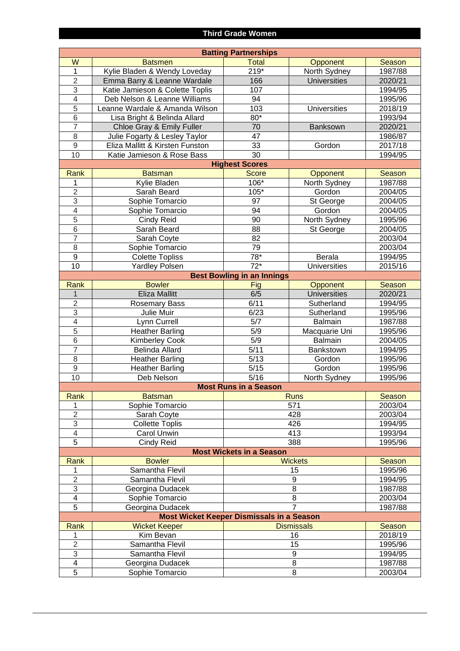#### **Third Grade Women**

| <b>Batting Partnerships</b>                                 |                                 |                                   |                     |               |  |
|-------------------------------------------------------------|---------------------------------|-----------------------------------|---------------------|---------------|--|
| W                                                           | <b>Batsmen</b>                  | <b>Total</b>                      | Opponent            | <b>Season</b> |  |
| 1                                                           | Kylie Bladen & Wendy Loveday    | $219*$                            | North Sydney        | 1987/88       |  |
| $\overline{2}$                                              | Emma Barry & Leanne Wardale     | 166                               | <b>Universities</b> | 2020/21       |  |
| 3                                                           | Katie Jamieson & Colette Toplis | 107                               |                     | 1994/95       |  |
| $\overline{4}$                                              | Deb Nelson & Leanne Williams    | 94                                |                     | 1995/96       |  |
| $\overline{5}$                                              | Leanne Wardale & Amanda Wilson  | 103                               | <b>Universities</b> | 2018/19       |  |
| 6                                                           | Lisa Bright & Belinda Allard    | 80*                               |                     | 1993/94       |  |
| $\overline{7}$                                              | Chloe Gray & Emily Fuller       | 70                                | Banksown            | 2020/21       |  |
| 8                                                           | Julie Fogarty & Lesley Taylor   | 47                                |                     | 1986/87       |  |
| 9                                                           | Eliza Mallitt & Kirsten Funston | 33                                | Gordon              | 2017/18       |  |
| 10                                                          | Katie Jamieson & Rose Bass      | 30                                |                     | 1994/95       |  |
|                                                             |                                 | <b>Highest Scores</b>             |                     |               |  |
| Rank                                                        | <b>Batsman</b>                  | <b>Score</b>                      | Opponent            | Season        |  |
| 1                                                           | Kylie Bladen                    | 106*                              | North Sydney        | 1987/88       |  |
| $\overline{2}$                                              | Sarah Beard                     | $105*$                            | Gordon              | 2004/05       |  |
| 3                                                           | Sophie Tomarcio                 | 97                                | St George           | 2004/05       |  |
| $\overline{4}$                                              | Sophie Tomarcio                 | 94                                | Gordon              | 2004/05       |  |
| 5                                                           | Cindy Reid                      | 90                                | North Sydney        | 1995/96       |  |
| $\overline{6}$                                              | Sarah Beard                     | 88                                | St George           | 2004/05       |  |
| $\overline{7}$                                              | Sarah Coyte                     | 82                                |                     | 2003/04       |  |
| 8                                                           | Sophie Tomarcio                 | 79                                |                     | 2003/04       |  |
| 9                                                           | <b>Colette Topliss</b>          | $78*$                             | Berala              | 1994/95       |  |
| 10                                                          | <b>Yardley Polsen</b>           | $\overline{72^*}$                 | <b>Universities</b> | 2015/16       |  |
|                                                             |                                 | <b>Best Bowling in an Innings</b> |                     |               |  |
| Rank                                                        | <b>Bowler</b>                   | Fig                               | Opponent            | Season        |  |
| 1                                                           | <b>Eliza Mallitt</b>            | 6/5                               | <b>Universities</b> | 2020/21       |  |
| $\overline{2}$                                              | Rosemary Bass                   | 6/11                              | Sutherland          | 1994/95       |  |
| 3                                                           | Julie Muir                      | 6/23                              | Sutherland          | 1995/96       |  |
| $\overline{4}$                                              | Lynn Currell                    | 5/7                               | <b>Balmain</b>      | 1987/88       |  |
| $\overline{5}$                                              | <b>Heather Barling</b>          | 5/9                               | Macquarie Uni       | 1995/96       |  |
| 6                                                           | <b>Kimberley Cook</b>           | 5/9                               | Balmain             | 2004/05       |  |
| $\overline{7}$                                              | <b>Belinda Allard</b>           | 5/11                              | Bankstown           | 1994/95       |  |
| 8                                                           | <b>Heather Barling</b>          | 5/13                              | Gordon              | 1995/96       |  |
| 9                                                           | <b>Heather Barling</b>          | 5/15                              | Gordon              | 1995/96       |  |
| 10                                                          | Deb Nelson                      | 5/16                              | North Sydney        | 1995/96       |  |
|                                                             |                                 | <b>Most Runs in a Season</b>      |                     |               |  |
| Rank                                                        | <b>Batsman</b>                  |                                   | <b>Runs</b>         | Season        |  |
| 1                                                           | Sophie Tomarcio                 |                                   | 571                 | 2003/04       |  |
| $\overline{2}$                                              | Sarah Coyte                     | 428                               |                     | 2003/04       |  |
| 3                                                           | <b>Collette Toplis</b>          | 426                               |                     | 1994/95       |  |
| 4                                                           | Carol Unwin                     | 413                               |                     | 1993/94       |  |
| 5                                                           | Cindy Reid                      | 388                               |                     | 1995/96       |  |
|                                                             |                                 | <b>Most Wickets in a Season</b>   |                     |               |  |
| Rank                                                        | <b>Bowler</b>                   |                                   | <b>Wickets</b>      | Season        |  |
| 1                                                           | Samantha Flevil                 |                                   | 15                  | 1995/96       |  |
| $\overline{2}$                                              | Samantha Flevil                 | 9                                 |                     | 1994/95       |  |
| 3                                                           | Georgina Dudacek                | 8                                 |                     | 1987/88       |  |
| 4                                                           | Sophie Tomarcio                 | 8                                 |                     | 2003/04       |  |
| 5                                                           | Georgina Dudacek                |                                   | $\overline{7}$      | 1987/88       |  |
| <b>Most Wicket Keeper Dismissals in a Season</b>            |                                 |                                   |                     |               |  |
| <b>Wicket Keeper</b><br><b>Dismissals</b><br>Season<br>Rank |                                 |                                   |                     |               |  |
| 1                                                           | Kim Bevan                       | 16                                |                     | 2018/19       |  |
| $\overline{2}$                                              | Samantha Flevil                 | 15                                |                     | 1995/96       |  |
| 3                                                           | Samantha Flevil                 |                                   | 9                   | 1994/95       |  |
| 4                                                           | Georgina Dudacek                | 8                                 |                     | 1987/88       |  |
| 5                                                           | Sophie Tomarcio                 | 8                                 |                     | 2003/04       |  |
|                                                             |                                 |                                   |                     |               |  |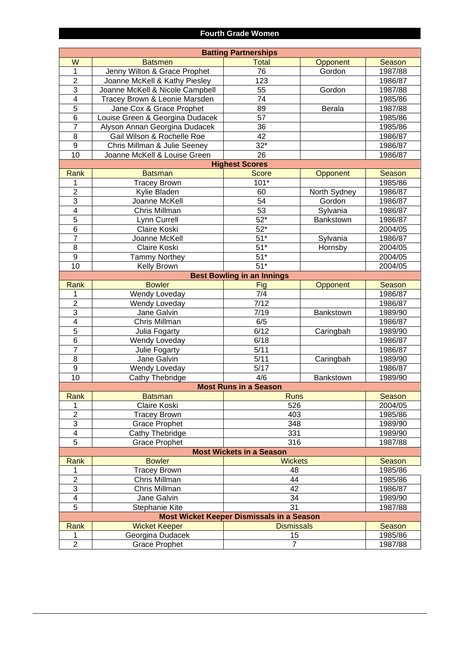#### **Fourth Grade Women**

| <b>Batting Partnerships</b>                      |                                 |                                   |                  |         |  |
|--------------------------------------------------|---------------------------------|-----------------------------------|------------------|---------|--|
| W                                                | <b>Batsmen</b>                  | <b>Total</b>                      | Opponent         | Season  |  |
| $\overline{1}$                                   | Jenny Wilton & Grace Prophet    | 76                                | Gordon           | 1987/88 |  |
| $\overline{2}$                                   | Joanne McKell & Kathy Piesley   | 123                               |                  | 1986/87 |  |
| $\overline{3}$                                   | Joanne McKell & Nicole Campbell | 55                                | Gordon           | 1987/88 |  |
| $\overline{\mathbf{4}}$                          | Tracey Brown & Leonie Marsden   | 74                                |                  | 1985/86 |  |
| $\overline{5}$                                   | Jane Cox & Grace Prophet        | 89                                | <b>Berala</b>    | 1987/88 |  |
| $\overline{6}$                                   | Louise Green & Georgina Dudacek | $\overline{57}$                   |                  | 1985/86 |  |
| $\overline{7}$                                   | Alyson Annan Georgina Dudacek   | $\overline{36}$                   |                  | 1985/86 |  |
| $\overline{8}$                                   | Gail Wilson & Rochelle Roe      | $\overline{42}$                   |                  | 1986/87 |  |
| $\overline{9}$                                   | Chris Millman & Julie Seeney    | $32*$                             |                  | 1986/87 |  |
| 10                                               | Joanne McKell & Louise Green    | 26                                |                  | 1986/87 |  |
|                                                  |                                 | <b>Highest Scores</b>             |                  |         |  |
| Rank                                             | <b>Batsman</b>                  | <b>Score</b>                      | Opponent         | Season  |  |
| 1                                                | <b>Tracey Brown</b>             | $101*$                            |                  | 1985/86 |  |
| $\overline{2}$                                   | Kylie Bladen                    | 60                                | North Sydney     | 1986/87 |  |
| $\overline{3}$                                   | Joanne McKell                   | 54                                | Gordon           | 1986/87 |  |
| $\overline{\mathbf{4}}$                          | Chris Millman                   | 53                                | Sylvania         | 1986/87 |  |
| $\overline{5}$                                   | Lynn Currell                    | $52*$                             | Bankstown        | 1986/87 |  |
| $\overline{6}$                                   | Claire Koski                    | $52*$                             |                  | 2004/05 |  |
| $\overline{7}$                                   | Joanne McKell                   | $\overline{51}^*$                 | Sylvania         | 1986/87 |  |
| $\overline{8}$                                   | Claire Koski                    | $\overline{51}^*$                 | Hornsby          | 2004/05 |  |
| $\overline{9}$                                   |                                 | $51*$                             |                  | 2004/05 |  |
| 10                                               | <b>Tammy Northey</b>            | $\overline{51}^*$                 |                  |         |  |
|                                                  | Kelly Brown                     |                                   |                  | 2004/05 |  |
|                                                  |                                 | <b>Best Bowling in an Innings</b> |                  |         |  |
| Rank                                             | <b>Bowler</b>                   | Fig                               | Opponent         | Season  |  |
| 1                                                | Wendy Loveday                   | 7/4                               |                  | 1986/87 |  |
| $\overline{2}$                                   | Wendy Loveday                   | 7/12                              |                  | 1986/87 |  |
| $\overline{3}$                                   | Jane Galvin                     | 7/19                              | <b>Bankstown</b> | 1989/90 |  |
| $\overline{4}$                                   | Chris Millman                   | 6/5                               |                  | 1986/87 |  |
| $\overline{5}$                                   | Julia Fogarty                   | 6/12                              | Caringbah        | 1989/90 |  |
| $\overline{6}$                                   | Wendy Loveday                   | 6/18                              |                  | 1986/87 |  |
| $\overline{7}$                                   | Julie Fogarty                   | 5/11                              |                  | 1986/87 |  |
| $\overline{8}$                                   | Jane Galvin                     | 5/11                              | Caringbah        | 1989/90 |  |
| $\overline{9}$                                   | Wendy Loveday                   | $\overline{5}/17$                 |                  | 1986/87 |  |
| 10                                               | Cathy Thebridge                 | 4/6                               | Bankstown        | 1989/90 |  |
|                                                  |                                 | <b>Most Runs in a Season</b>      |                  |         |  |
| Rank                                             | <b>Batsman</b>                  | <b>Runs</b>                       |                  | Season  |  |
| 1                                                | Claire Koski                    | 526                               |                  | 2004/05 |  |
| $\overline{2}$                                   | <b>Tracey Brown</b>             | 403                               |                  | 1985/86 |  |
| $\overline{3}$                                   | <b>Grace Prophet</b>            | 348                               |                  | 1989/90 |  |
| $\overline{\mathbf{4}}$                          | Cathy Thebridge                 | 331                               |                  | 1989/90 |  |
| $\overline{5}$                                   | <b>Grace Prophet</b>            | 316                               |                  | 1987/88 |  |
| <b>Most Wickets in a Season</b>                  |                                 |                                   |                  |         |  |
| Rank                                             | <b>Bowler</b>                   | <b>Wickets</b>                    |                  | Season  |  |
| 1                                                | <b>Tracey Brown</b>             | 48                                |                  | 1985/86 |  |
| $\overline{2}$                                   | Chris Millman                   | 44                                |                  | 1985/86 |  |
| $\overline{3}$                                   | Chris Millman                   | 42                                |                  | 1986/87 |  |
| 4                                                | Jane Galvin                     | 34                                |                  | 1989/90 |  |
| $\overline{5}$                                   | Stephanie Kite                  | $\overline{31}$                   |                  | 1987/88 |  |
| <b>Most Wicket Keeper Dismissals in a Season</b> |                                 |                                   |                  |         |  |
| Rank                                             | <b>Wicket Keeper</b>            | <b>Dismissals</b>                 |                  | Season  |  |
| 1                                                | Georgina Dudacek                | 15                                |                  | 1985/86 |  |
| $\overline{2}$                                   | <b>Grace Prophet</b>            | $\overline{7}$                    |                  | 1987/88 |  |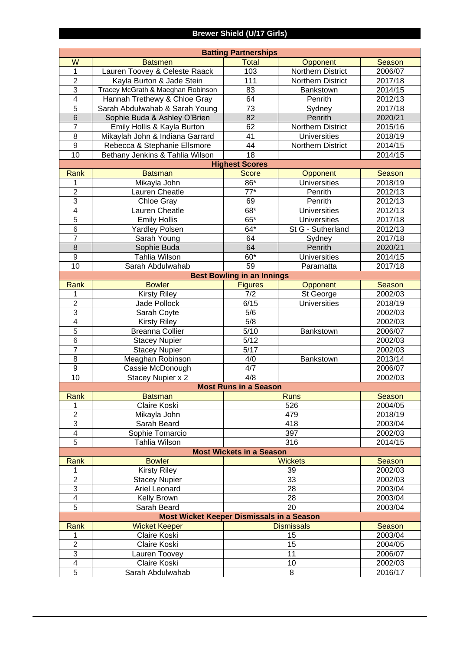## **Brewer Shield (U/17 Girls)**

| <b>Batting Partnerships</b>                                        |                                           |                                   |                     |                   |  |  |
|--------------------------------------------------------------------|-------------------------------------------|-----------------------------------|---------------------|-------------------|--|--|
| W                                                                  | <b>Batsmen</b>                            | <b>Total</b>                      | Opponent            | <b>Season</b>     |  |  |
| $\mathbf{1}$                                                       | Lauren Toovey & Celeste Raack             | 103                               | Northern District   | 2006/07           |  |  |
| $\overline{2}$                                                     | Kayla Burton & Jade Stein                 | 111                               | Northern District   | 2017/18           |  |  |
| $\overline{3}$                                                     | Tracey McGrath & Maeghan Robinson         | 83                                | Bankstown           | 2014/15           |  |  |
| $\overline{4}$                                                     | Hannah Trethewy & Chloe Gray              | 64                                | Penrith             | 2012/13           |  |  |
| $\overline{5}$                                                     | Sarah Abdulwahab & Sarah Young            | $\overline{73}$                   | Sydney              | 2017/18           |  |  |
| $\overline{6}$                                                     | Sophie Buda & Ashley O'Brien              | 82                                | Penrith             | 2020/21           |  |  |
| $\overline{7}$                                                     | Emily Hollis & Kayla Burton               | 62                                | Northern District   | 2015/16           |  |  |
| 8                                                                  | Mikaylah John & Indiana Garrard           | 41                                | <b>Universities</b> | 2018/19           |  |  |
| $\overline{9}$                                                     | Rebecca & Stephanie Ellsmore              | 44                                | Northern District   | 2014/15           |  |  |
| 10                                                                 | Bethany Jenkins & Tahlia Wilson           | 18                                |                     | 2014/15           |  |  |
|                                                                    |                                           | <b>Highest Scores</b>             |                     |                   |  |  |
| Rank                                                               | <b>Batsman</b>                            | <b>Score</b>                      | Opponent            | Season            |  |  |
| 1                                                                  | Mikayla John                              | 86*                               | <b>Universities</b> | 2018/19           |  |  |
| $\overline{2}$                                                     | Lauren Cheatle                            | $\overline{77}^*$                 | Penrith             | 2012/13           |  |  |
| $\overline{3}$                                                     | Chloe Gray                                | 69                                | Penrith             | 2012/13           |  |  |
| $\overline{\mathcal{L}}$                                           | Lauren Cheatle                            | $68*$                             | <b>Universities</b> | 2012/13           |  |  |
| $\overline{5}$                                                     | <b>Emily Hollis</b>                       | $65*$                             | <b>Universities</b> | 2017/18           |  |  |
| $\overline{6}$                                                     | <b>Yardley Polsen</b>                     | $64*$                             | St G - Sutherland   | 2012/13           |  |  |
| $\overline{7}$                                                     | Sarah Young                               | 64                                | Sydney              | 2017/18           |  |  |
| $\overline{8}$                                                     | Sophie Buda                               | 64                                | Penrith             | 2020/21           |  |  |
| $\mathsf g$                                                        | <b>Tahlia Wilson</b>                      | $60*$                             | <b>Universities</b> | 2014/15           |  |  |
| 10                                                                 | Sarah Abdulwahab                          | 59                                | Paramatta           | 2017/18           |  |  |
|                                                                    |                                           | <b>Best Bowling in an Innings</b> |                     |                   |  |  |
| Rank                                                               | <b>Bowler</b>                             | <b>Figures</b>                    | <b>Opponent</b>     | Season            |  |  |
| 1                                                                  | <b>Kirsty Riley</b>                       | 7/2                               | St George           | 2002/03           |  |  |
| $\overline{2}$                                                     | Jade Pollock                              | 6/15                              | <b>Universities</b> | 2018/19           |  |  |
| $\overline{3}$                                                     | Sarah Coyte                               | 5/6                               |                     | 2002/03           |  |  |
| $\overline{\mathcal{A}}$                                           | <b>Kirsty Riley</b>                       | $\overline{5/8}$                  |                     | 2002/03           |  |  |
| $\overline{5}$                                                     | <b>Breanna Collier</b>                    | 5/10                              | Bankstown           | 2006/07           |  |  |
| 6                                                                  | <b>Stacey Nupier</b>                      | 5/12                              |                     | 2002/03           |  |  |
| $\overline{7}$                                                     | <b>Stacey Nupier</b>                      | 5/17                              |                     | 2002/03           |  |  |
| 8                                                                  | Meaghan Robinson                          | 4/0                               | Bankstown           | 2013/14           |  |  |
| $\overline{9}$<br>10                                               | Cassie McDonough                          | 4/7                               |                     | 2006/07           |  |  |
|                                                                    | Stacey Nupier x 2                         | 4/8                               |                     | 2002/03           |  |  |
| <b>Most Runs in a Season</b>                                       |                                           |                                   |                     |                   |  |  |
| Rank<br>1                                                          | <b>Batsman</b><br>Claire Koski            | <b>Runs</b>                       |                     | Season<br>2004/05 |  |  |
| $\overline{2}$                                                     | Mikayla John                              | 526<br>479                        |                     | 2018/19           |  |  |
| 3                                                                  | Sarah Beard                               | 418                               |                     | 2003/04           |  |  |
| $\overline{4}$                                                     | Sophie Tomarcio                           | 397                               |                     | 2002/03           |  |  |
| $\overline{5}$                                                     | Tahlia Wilson                             |                                   | 316                 | 2014/15           |  |  |
|                                                                    |                                           |                                   |                     |                   |  |  |
| <b>Most Wickets in a Season</b><br><b>Bowler</b><br>Season<br>Rank |                                           |                                   |                     |                   |  |  |
| 1                                                                  | <b>Kirsty Riley</b>                       | <b>Wickets</b>                    |                     | 2002/03           |  |  |
| $\overline{2}$                                                     | <b>Stacey Nupier</b>                      | 39<br>33                          |                     | 2002/03           |  |  |
| 3                                                                  | Ariel Leonard                             | 28                                |                     | 2003/04           |  |  |
| $\overline{4}$                                                     | Kelly Brown                               | 28                                |                     | 2003/04           |  |  |
| $\overline{5}$                                                     | Sarah Beard                               | 20                                |                     | 2003/04           |  |  |
|                                                                    | Most Wicket Keeper Dismissals in a Season |                                   |                     |                   |  |  |
| Rank                                                               | <b>Wicket Keeper</b>                      |                                   | <b>Dismissals</b>   | Season            |  |  |
| 1                                                                  | Claire Koski                              |                                   | 15                  | 2003/04           |  |  |
| $\overline{2}$                                                     | Claire Koski                              |                                   | 15                  | 2004/05           |  |  |
| 3                                                                  | Lauren Toovey                             | 11                                |                     | 2006/07           |  |  |
| $\overline{4}$                                                     | Claire Koski                              | 10                                |                     | 2002/03           |  |  |
| $\overline{5}$                                                     | Sarah Abdulwahab                          |                                   | 8                   | 2016/17           |  |  |
|                                                                    |                                           |                                   |                     |                   |  |  |